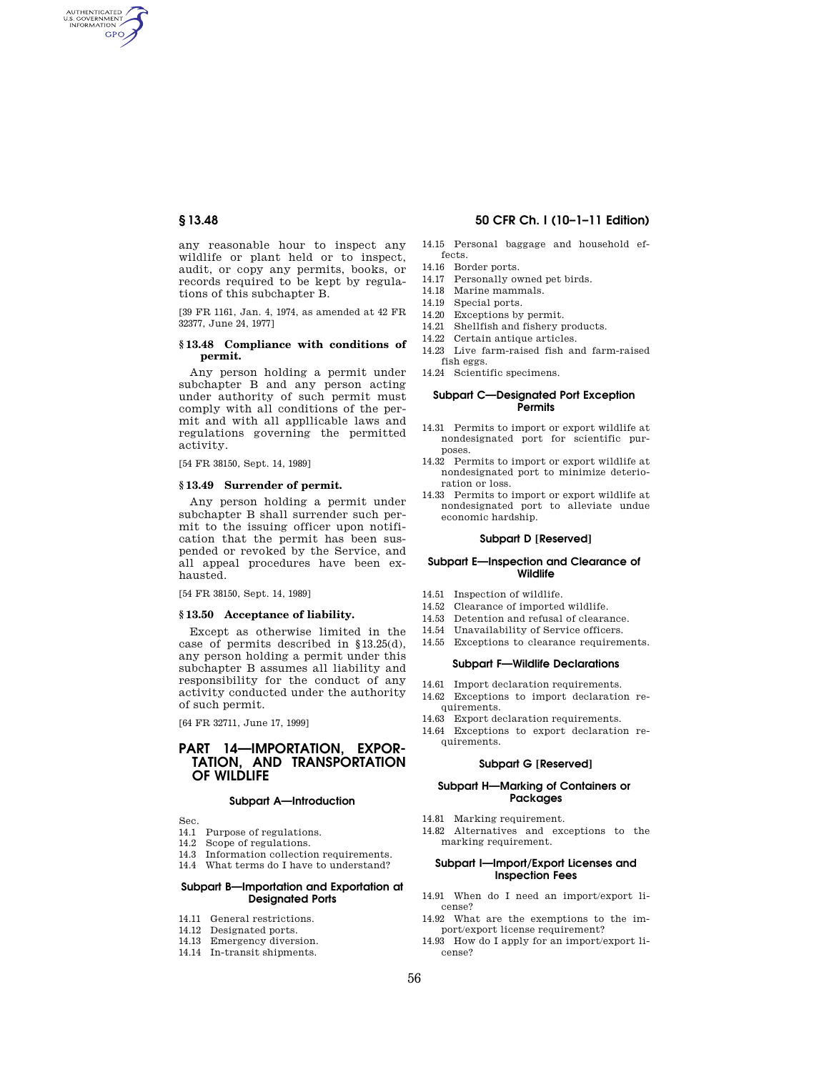AUTHENTICATED<br>U.S. GOVERNMENT<br>INFORMATION **GPO** 

> any reasonable hour to inspect any wildlife or plant held or to inspect, audit, or copy any permits, books, or records required to be kept by regulations of this subchapter B.

> [39 FR 1161, Jan. 4, 1974, as amended at 42 FR 32377, June 24, 1977]

#### **§ 13.48 Compliance with conditions of permit.**

Any person holding a permit under subchapter B and any person acting under authority of such permit must comply with all conditions of the permit and with all appllicable laws and regulations governing the permitted activity.

[54 FR 38150, Sept. 14, 1989]

## **§ 13.49 Surrender of permit.**

Any person holding a permit under subchapter B shall surrender such permit to the issuing officer upon notification that the permit has been suspended or revoked by the Service, and all appeal procedures have been exhausted.

[54 FR 38150, Sept. 14, 1989]

## **§ 13.50 Acceptance of liability.**

Except as otherwise limited in the case of permits described in §13.25(d), any person holding a permit under this subchapter B assumes all liability and responsibility for the conduct of any activity conducted under the authority of such permit.

[64 FR 32711, June 17, 1999]

# **PART 14—IMPORTATION, EXPOR-TATION, AND TRANSPORTATION OF WILDLIFE**

#### **Subpart A—Introduction**

Sec.

- 14.1 Purpose of regulations.
- 14.2 Scope of regulations.
- 14.3 Information collection requirements.
- 14.4 What terms do I have to understand?

# **Subpart B—Importation and Exportation at Designated Ports**

- 14.11 General restrictions.
- 14.12 Designated ports.
- 14.13 Emergency diversion.
- 14.14 In-transit shipments.

# **§ 13.48 50 CFR Ch. I (10–1–11 Edition)**

- 14.15 Personal baggage and household effects.
- 14.16 Border ports.
- 14.17 Personally owned pet birds.
- 14.18 Marine mammals.
- 14.19 Special ports.
- 14.20 Exceptions by permit.
- 14.21 Shellfish and fishery products.
- 14.22 Certain antique articles.
- 14.23 Live farm-raised fish and farm-raised fish eggs.
- 14.24 Scientific specimens.

#### **Subpart C—Designated Port Exception Permits**

- 14.31 Permits to import or export wildlife at nondesignated port for scientific purposes.
- 14.32 Permits to import or export wildlife at nondesignated port to minimize deterioration or loss.
- 14.33 Permits to import or export wildlife at nondesignated port to alleviate undue economic hardship.

#### **Subpart D [Reserved]**

#### **Subpart E—Inspection and Clearance of Wildlife**

- 14.51 Inspection of wildlife.
- 14.52 Clearance of imported wildlife.
- 14.53 Detention and refusal of clearance.
- 14.54 Unavailability of Service officers.
- 14.55 Exceptions to clearance requirements.
	- **Subpart F—Wildlife Declarations**
- 14.61 Import declaration requirements.
- 14.62 Exceptions to import declaration requirements.
- 14.63 Export declaration requirements.
- 14.64 Exceptions to export declaration requirements.

#### **Subpart G [Reserved]**

## **Subpart H—Marking of Containers or Packages**

- 14.81 Marking requirement.
- 14.82 Alternatives and exceptions to the marking requirement.

# **Subpart I—Import/Export Licenses and Inspection Fees**

- 14.91 When do I need an import/export license?
- 14.92 What are the exemptions to the import/export license requirement?
- 14.93 How do I apply for an import/export license?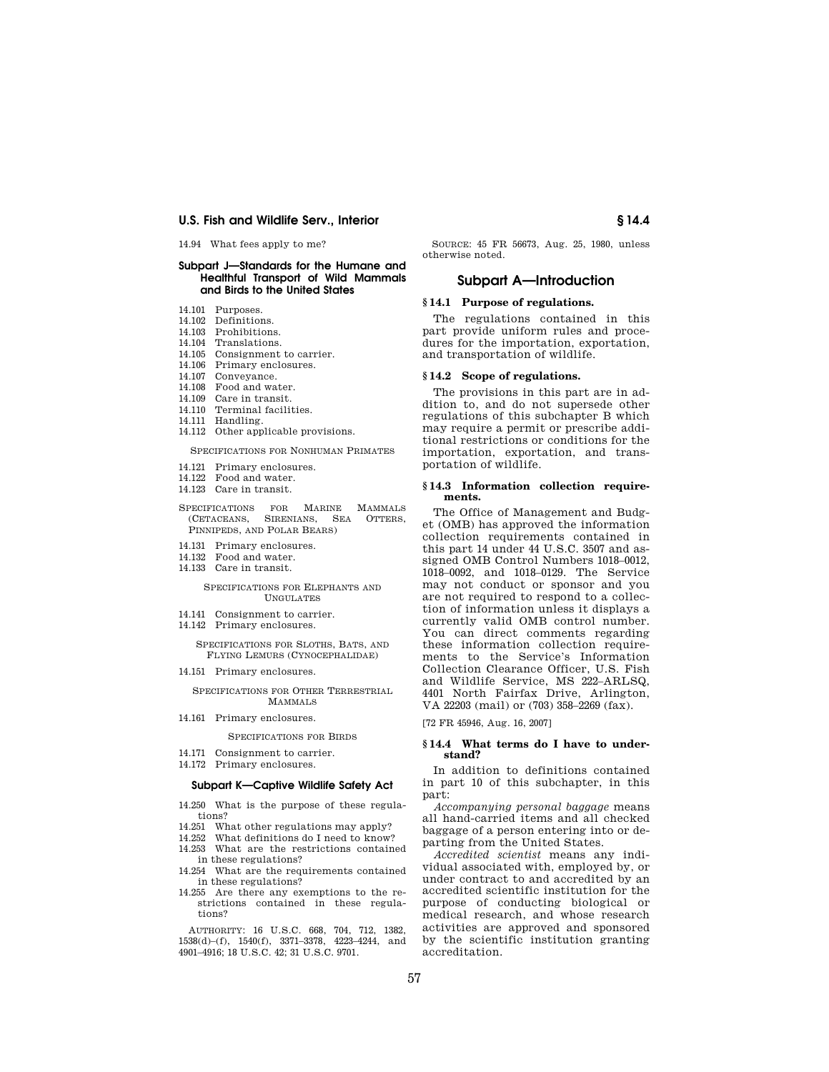14.94 What fees apply to me?

## **Subpart J—Standards for the Humane and Healthful Transport of Wild Mammals and Birds to the United States**

- 14.101 Purposes.
- 14.102 Definitions.
- 14.103 Prohibitions.
- 14.104 Translations.
- 14.105 Consignment to carrier.
- 14.106 Primary enclosures.
- 14.107 Conveyance.
- 14.108 Food and water.
- 14.109 Care in transit.
- 14.110 Terminal facilities.
- 14.111 Handling.
- 14.112 Other applicable provisions.

#### SPECIFICATIONS FOR NONHUMAN PRIMATES

- 14.121 Primary enclosures.
- 14.122 Food and water.
- 14.123 Care in transit.
- 
- SPECIFICATIONS FOR MARINE MAMMALS (CETACEANS, SIRENIANS, SEA OTTERS, PINNIPEDS, AND POLAR BEARS)
- 14.131 Primary enclosures.
- 14.132 Food and water.
- 14.133 Care in transit.

#### SPECIFICATIONS FOR ELEPHANTS AND UNGULATES

- 14.141 Consignment to carrier.
- 14.142 Primary enclosures.

SPECIFICATIONS FOR SLOTHS, BATS, AND FLYING LEMURS (CYNOCEPHALIDAE)

14.151 Primary enclosures.

SPECIFICATIONS FOR OTHER TERRESTRIAL **MAMMALS** 

14.161 Primary enclosures.

# SPECIFICATIONS FOR BIRDS

- 14.171 Consignment to carrier. 14.172 Primary enclosures.
- 

# **Subpart K—Captive Wildlife Safety Act**

- 14.250 What is the purpose of these regulations?
- 14.251 What other regulations may apply?
- 14.252 What definitions do I need to know?
- 14.253 What are the restrictions contained in these regulations?
- 14.254 What are the requirements contained in these regulations?
- 14.255 Are there any exemptions to the restrictions contained in these regulations?

AUTHORITY: 16 U.S.C. 668, 704, 712, 1382, 1538(d)–(f), 1540(f), 3371–3378, 4223–4244, and 4901–4916; 18 U.S.C. 42; 31 U.S.C. 9701.

SOURCE: 45 FR 56673, Aug. 25, 1980, unless otherwise noted.

## **Subpart A—Introduction**

# **§ 14.1 Purpose of regulations.**

The regulations contained in this part provide uniform rules and procedures for the importation, exportation, and transportation of wildlife.

#### **§ 14.2 Scope of regulations.**

The provisions in this part are in addition to, and do not supersede other regulations of this subchapter B which may require a permit or prescribe additional restrictions or conditions for the importation, exportation, and transportation of wildlife.

#### **§ 14.3 Information collection requirements.**

The Office of Management and Budget (OMB) has approved the information collection requirements contained in this part 14 under 44 U.S.C. 3507 and assigned OMB Control Numbers 1018–0012, 1018–0092, and 1018–0129. The Service may not conduct or sponsor and you are not required to respond to a collection of information unless it displays a currently valid OMB control number. You can direct comments regarding these information collection requirements to the Service's Information Collection Clearance Officer, U.S. Fish and Wildlife Service, MS 222–ARLSQ, 4401 North Fairfax Drive, Arlington, VA 22203 (mail) or (703) 358–2269 (fax).

[72 FR 45946, Aug. 16, 2007]

## **§ 14.4 What terms do I have to understand?**

In addition to definitions contained in part 10 of this subchapter, in this part:

*Accompanying personal baggage* means all hand-carried items and all checked baggage of a person entering into or departing from the United States.

*Accredited scientist* means any individual associated with, employed by, or under contract to and accredited by an accredited scientific institution for the purpose of conducting biological or medical research, and whose research activities are approved and sponsored by the scientific institution granting accreditation.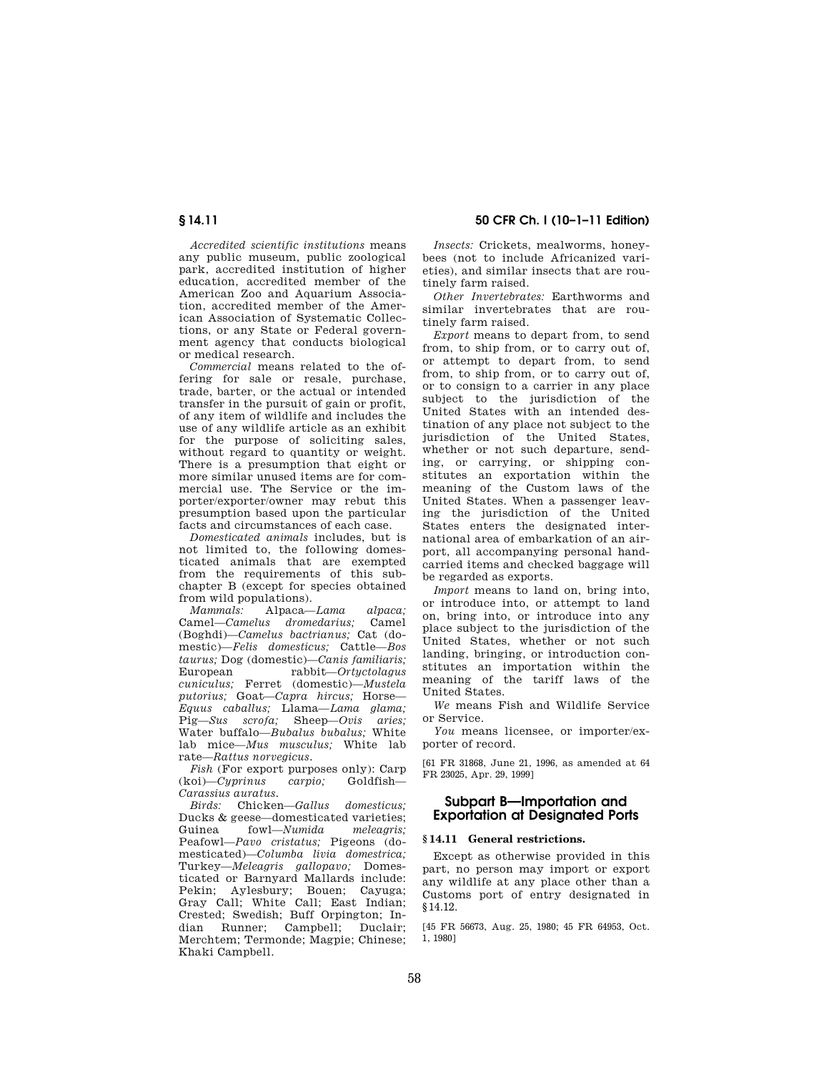**§ 14.11 50 CFR Ch. I (10–1–11 Edition)** 

*Accredited scientific institutions* means any public museum, public zoological park, accredited institution of higher education, accredited member of the American Zoo and Aquarium Association, accredited member of the American Association of Systematic Collections, or any State or Federal government agency that conducts biological or medical research.

*Commercial* means related to the offering for sale or resale, purchase, trade, barter, or the actual or intended transfer in the pursuit of gain or profit, of any item of wildlife and includes the use of any wildlife article as an exhibit for the purpose of soliciting sales, without regard to quantity or weight. There is a presumption that eight or more similar unused items are for commercial use. The Service or the importer/exporter/owner may rebut this presumption based upon the particular facts and circumstances of each case.

*Domesticated animals* includes, but is not limited to, the following domesticated animals that are exempted from the requirements of this subchapter B (except for species obtained

from wild populations).<br>Mammals: Alpaca-*Mammals:* Alpaca—*Lama alpaca;*  Camel—*Camelus dromedarius*; (Boghdi)—*Camelus bactrianus;* Cat (domestic)—*Felis domesticus;* Cattle—*Bos taurus;* Dog (domestic)—*Canis familiaris;*  European rabbit—*Ortyctolagus cuniculus;* Ferret (domestic)—*Mustela putorius;* Goat—*Capra hircus;* Horse— *Equus caballus;* Llama—*Lama glama;*  Pig—*Sus scrofa;* Sheep—*Ovis aries;*  Water buffalo—*Bubalus bubalus;* White lab mice—*Mus musculus;* White lab rate—*Rattus norvegicus.* 

*Fish* (For export purposes only): Carp<br> *Cunrinus carpio*: Goldfish—  $(koi)$ —*Cyprinus carpio; Carassius auratus.* 

*Birds:* Chicken—*Gallus domesticus;*  Ducks & geese—domesticated varieties;<br>Guinea fowl—Numida meleagris: fowl—*Numida* Peafowl—*Pavo cristatus;* Pigeons (domesticated)—*Columba livia domestrica;*  Turkey—*Meleagris gallopavo;* Domesticated or Barnyard Mallards include: Pekin; Aylesbury; Bouen; Cayuga; Gray Call; White Call; East Indian; Crested; Swedish; Buff Orpington; Indian Runner; Campbell; Duclair; Merchtem; Termonde; Magpie; Chinese; Khaki Campbell.

*Insects:* Crickets, mealworms, honeybees (not to include Africanized varieties), and similar insects that are routinely farm raised.

*Other Invertebrates:* Earthworms and similar invertebrates that are routinely farm raised.

*Export* means to depart from, to send from, to ship from, or to carry out of, or attempt to depart from, to send from, to ship from, or to carry out of, or to consign to a carrier in any place subject to the jurisdiction of the United States with an intended destination of any place not subject to the jurisdiction of the United States, whether or not such departure, sending, or carrying, or shipping constitutes an exportation within the meaning of the Custom laws of the United States. When a passenger leaving the jurisdiction of the United States enters the designated international area of embarkation of an airport, all accompanying personal handcarried items and checked baggage will be regarded as exports.

*Import* means to land on, bring into, or introduce into, or attempt to land on, bring into, or introduce into any place subject to the jurisdiction of the United States, whether or not such landing, bringing, or introduction constitutes an importation within the meaning of the tariff laws of the United States.

*We* means Fish and Wildlife Service or Service.

*You* means licensee, or importer/exporter of record.

[61 FR 31868, June 21, 1996, as amended at 64 FR 23025, Apr. 29, 1999]

# **Subpart B—Importation and Exportation at Designated Ports**

# **§ 14.11 General restrictions.**

Except as otherwise provided in this part, no person may import or export any wildlife at any place other than a Customs port of entry designated in §14.12.

[45 FR 56673, Aug. 25, 1980; 45 FR 64953, Oct. 1, 1980]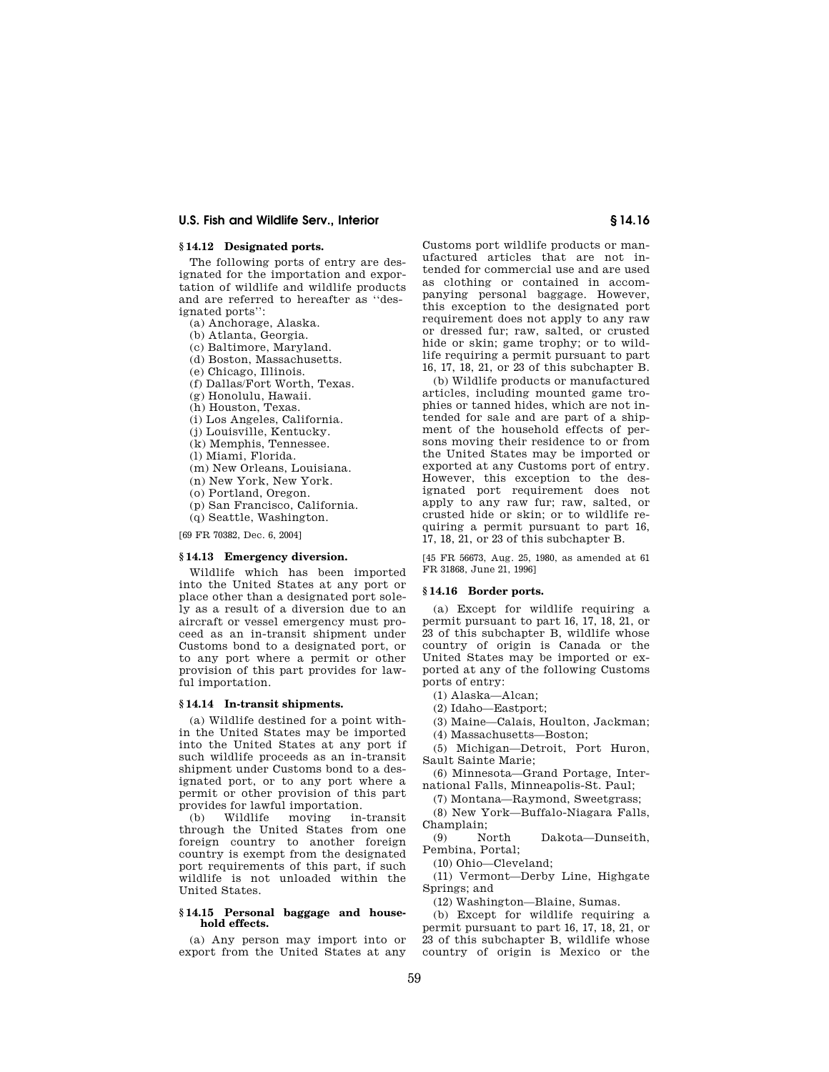# **§ 14.12 Designated ports.**

The following ports of entry are designated for the importation and exportation of wildlife and wildlife products and are referred to hereafter as ''designated ports'':

(a) Anchorage, Alaska.

(b) Atlanta, Georgia.

(c) Baltimore, Maryland.

(d) Boston, Massachusetts.

(e) Chicago, Illinois.

(f) Dallas/Fort Worth, Texas.

(g) Honolulu, Hawaii.

(h) Houston, Texas.

(i) Los Angeles, California.

(j) Louisville, Kentucky.

(k) Memphis, Tennessee.

(l) Miami, Florida.

(m) New Orleans, Louisiana.

(n) New York, New York.

(o) Portland, Oregon.

(p) San Francisco, California.

(q) Seattle, Washington.

[69 FR 70382, Dec. 6, 2004]

## **§ 14.13 Emergency diversion.**

Wildlife which has been imported into the United States at any port or place other than a designated port solely as a result of a diversion due to an aircraft or vessel emergency must proceed as an in-transit shipment under Customs bond to a designated port, or to any port where a permit or other provision of this part provides for lawful importation.

#### **§ 14.14 In-transit shipments.**

(a) Wildlife destined for a point within the United States may be imported into the United States at any port if such wildlife proceeds as an in-transit shipment under Customs bond to a designated port, or to any port where a permit or other provision of this part provides for lawful importation.<br>(b) Wildlife moving in-

(b) Wildlife moving in-transit through the United States from one foreign country to another foreign country is exempt from the designated port requirements of this part, if such wildlife is not unloaded within the United States.

## **§ 14.15 Personal baggage and household effects.**

(a) Any person may import into or export from the United States at any

Customs port wildlife products or manufactured articles that are not intended for commercial use and are used as clothing or contained in accompanying personal baggage. However, this exception to the designated port requirement does not apply to any raw or dressed fur; raw, salted, or crusted hide or skin; game trophy; or to wildlife requiring a permit pursuant to part 16, 17, 18, 21, or 23 of this subchapter B.

(b) Wildlife products or manufactured articles, including mounted game trophies or tanned hides, which are not intended for sale and are part of a shipment of the household effects of persons moving their residence to or from the United States may be imported or exported at any Customs port of entry. However, this exception to the designated port requirement does not apply to any raw fur; raw, salted, or crusted hide or skin; or to wildlife requiring a permit pursuant to part 16, 17, 18, 21, or 23 of this subchapter B.

[45 FR 56673, Aug. 25, 1980, as amended at 61 FR 31868, June 21, 1996]

#### **§ 14.16 Border ports.**

(a) Except for wildlife requiring a permit pursuant to part 16, 17, 18, 21, or 23 of this subchapter B, wildlife whose country of origin is Canada or the United States may be imported or exported at any of the following Customs ports of entry:

(1) Alaska—Alcan;

(2) Idaho—Eastport;

(3) Maine—Calais, Houlton, Jackman;

(4) Massachusetts—Boston;

(5) Michigan—Detroit, Port Huron, Sault Sainte Marie;

(6) Minnesota—Grand Portage, International Falls, Minneapolis-St. Paul;

(7) Montana—Raymond, Sweetgrass; (8) New York—Buffalo-Niagara Falls,

Champlain;

(9) North Dakota—Dunseith, Pembina, Portal;

(10) Ohio—Cleveland;

(11) Vermont—Derby Line, Highgate Springs; and

(12) Washington—Blaine, Sumas.

(b) Except for wildlife requiring a permit pursuant to part 16, 17, 18, 21, or 23 of this subchapter B, wildlife whose country of origin is Mexico or the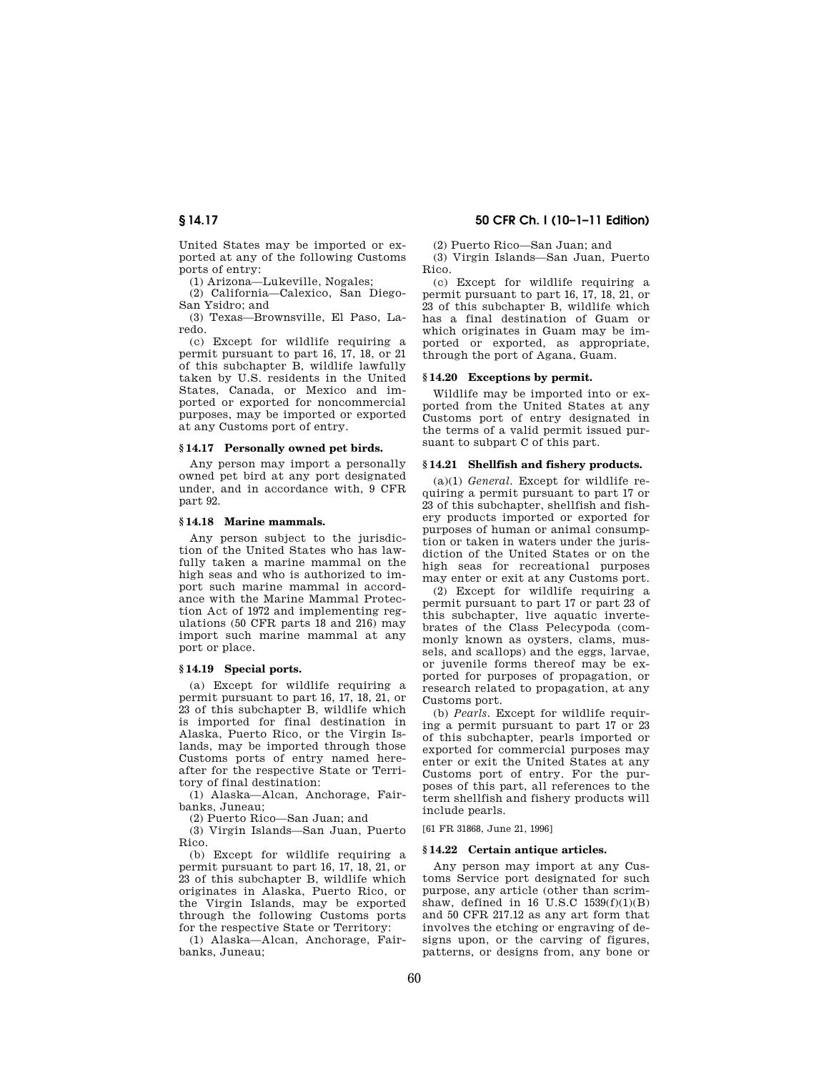United States may be imported or exported at any of the following Customs ports of entry:

(1) Arizona—Lukeville, Nogales;

(2) California—Calexico, San Diego-San Ysidro; and

(3) Texas—Brownsville, El Paso, Laredo.

(c) Except for wildlife requiring a permit pursuant to part 16, 17, 18, or 21 of this subchapter B, wildlife lawfully taken by U.S. residents in the United States, Canada, or Mexico and imported or exported for noncommercial purposes, may be imported or exported at any Customs port of entry.

#### **§ 14.17 Personally owned pet birds.**

Any person may import a personally owned pet bird at any port designated under, and in accordance with, 9 CFR part 92.

### **§ 14.18 Marine mammals.**

Any person subject to the jurisdiction of the United States who has lawfully taken a marine mammal on the high seas and who is authorized to import such marine mammal in accordance with the Marine Mammal Protection Act of 1972 and implementing regulations (50 CFR parts 18 and 216) may import such marine mammal at any port or place.

# **§ 14.19 Special ports.**

(a) Except for wildlife requiring a permit pursuant to part 16, 17, 18, 21, or 23 of this subchapter B, wildlife which is imported for final destination in Alaska, Puerto Rico, or the Virgin Islands, may be imported through those Customs ports of entry named hereafter for the respective State or Territory of final destination:

(1) Alaska—Alcan, Anchorage, Fairbanks, Juneau;

(2) Puerto Rico—San Juan; and

(3) Virgin Islands—San Juan, Puerto Rico.

(b) Except for wildlife requiring a permit pursuant to part 16, 17, 18, 21, or 23 of this subchapter B, wildlife which originates in Alaska, Puerto Rico, or the Virgin Islands, may be exported through the following Customs ports for the respective State or Territory:

(1) Alaska—Alcan, Anchorage, Fairbanks, Juneau;

# **§ 14.17 50 CFR Ch. I (10–1–11 Edition)**

(2) Puerto Rico—San Juan; and

(3) Virgin Islands—San Juan, Puerto Rico.

(c) Except for wildlife requiring a permit pursuant to part 16, 17, 18, 21, or 23 of this subchapter B, wildlife which has a final destination of Guam or which originates in Guam may be imported or exported, as appropriate, through the port of Agana, Guam.

#### **§ 14.20 Exceptions by permit.**

Wildlife may be imported into or exported from the United States at any Customs port of entry designated in the terms of a valid permit issued pursuant to subpart C of this part.

#### **§ 14.21 Shellfish and fishery products.**

(a)(1) *General.* Except for wildlife requiring a permit pursuant to part 17 or 23 of this subchapter, shellfish and fishery products imported or exported for purposes of human or animal consumption or taken in waters under the jurisdiction of the United States or on the high seas for recreational purposes may enter or exit at any Customs port.

(2) Except for wildlife requiring a permit pursuant to part 17 or part 23 of this subchapter, live aquatic invertebrates of the Class Pelecypoda (commonly known as oysters, clams, mussels, and scallops) and the eggs, larvae, or juvenile forms thereof may be exported for purposes of propagation, or research related to propagation, at any Customs port.

(b) *Pearls.* Except for wildlife requiring a permit pursuant to part 17 or 23 of this subchapter, pearls imported or exported for commercial purposes may enter or exit the United States at any Customs port of entry. For the purposes of this part, all references to the term shellfish and fishery products will include pearls.

[61 FR 31868, June 21, 1996]

#### **§ 14.22 Certain antique articles.**

Any person may import at any Customs Service port designated for such purpose, any article (other than scrimshaw, defined in  $16$  U.S.C  $1539(f)(1)(B)$ and 50 CFR 217.12 as any art form that involves the etching or engraving of designs upon, or the carving of figures, patterns, or designs from, any bone or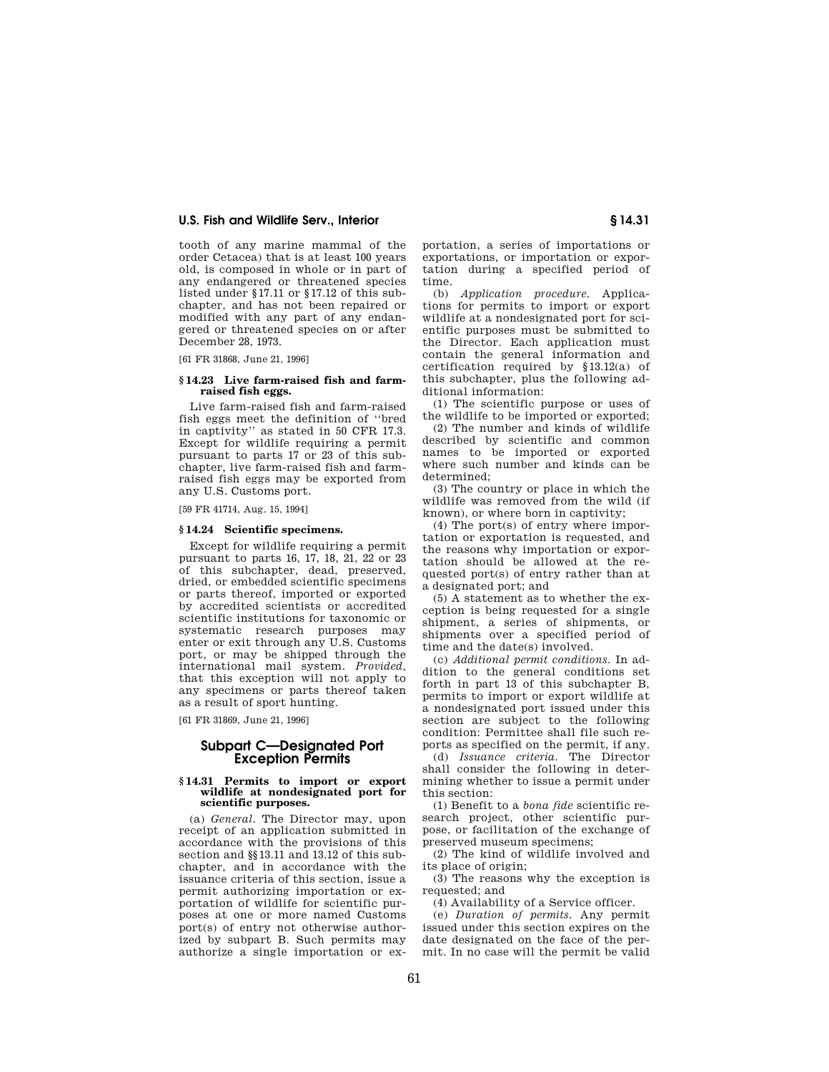tooth of any marine mammal of the order Cetacea) that is at least 100 years old, is composed in whole or in part of any endangered or threatened species listed under §17.11 or §17.12 of this subchapter, and has not been repaired or modified with any part of any endangered or threatened species on or after December 28, 1973.

[61 FR 31868, June 21, 1996]

## **§ 14.23 Live farm-raised fish and farmraised fish eggs.**

Live farm-raised fish and farm-raised fish eggs meet the definition of ''bred in captivity'' as stated in 50 CFR 17.3. Except for wildlife requiring a permit pursuant to parts 17 or 23 of this subchapter, live farm-raised fish and farmraised fish eggs may be exported from any U.S. Customs port.

[59 FR 41714, Aug. 15, 1994]

#### **§ 14.24 Scientific specimens.**

Except for wildlife requiring a permit pursuant to parts 16, 17, 18, 21, 22 or 23 of this subchapter, dead, preserved, dried, or embedded scientific specimens or parts thereof, imported or exported by accredited scientists or accredited scientific institutions for taxonomic or systematic research purposes may enter or exit through any U.S. Customs port, or may be shipped through the international mail system. *Provided,*  that this exception will not apply to any specimens or parts thereof taken as a result of sport hunting.

[61 FR 31869, June 21, 1996]

# **Subpart C—Designated Port Exception Permits**

#### **§ 14.31 Permits to import or export wildlife at nondesignated port for scientific purposes.**

(a) *General.* The Director may, upon receipt of an application submitted in accordance with the provisions of this section and §§13.11 and 13.12 of this subchapter, and in accordance with the issuance criteria of this section, issue a permit authorizing importation or exportation of wildlife for scientific purposes at one or more named Customs port(s) of entry not otherwise authorized by subpart B. Such permits may authorize a single importation or exportation, a series of importations or exportations, or importation or exportation during a specified period of  $\frac{\text{time}}{\text{(b)}}$ 

(b) *Application procedure.* Applications for permits to import or export wildlife at a nondesignated port for scientific purposes must be submitted to the Director. Each application must contain the general information and certification required by §13.12(a) of this subchapter, plus the following additional information:

(1) The scientific purpose or uses of the wildlife to be imported or exported;

(2) The number and kinds of wildlife described by scientific and common names to be imported or exported where such number and kinds can be determined;

(3) The country or place in which the wildlife was removed from the wild (if known), or where born in captivity;

(4) The port(s) of entry where importation or exportation is requested, and the reasons why importation or exportation should be allowed at the requested port(s) of entry rather than at a designated port; and

(5) A statement as to whether the exception is being requested for a single shipment, a series of shipments, or shipments over a specified period of time and the date(s) involved.

(c) *Additional permit conditions.* In addition to the general conditions set forth in part  $13$  of this subchapter B. permits to import or export wildlife at a nondesignated port issued under this section are subject to the following condition: Permittee shall file such reports as specified on the permit, if any.

(d) *Issuance criteria.* The Director shall consider the following in determining whether to issue a permit under this section:

(1) Benefit to a *bona fide* scientific research project, other scientific purpose, or facilitation of the exchange of preserved museum specimens;

(2) The kind of wildlife involved and its place of origin;

(3) The reasons why the exception is requested; and

(4) Availability of a Service officer.

(e) *Duration of permits.* Any permit issued under this section expires on the date designated on the face of the permit. In no case will the permit be valid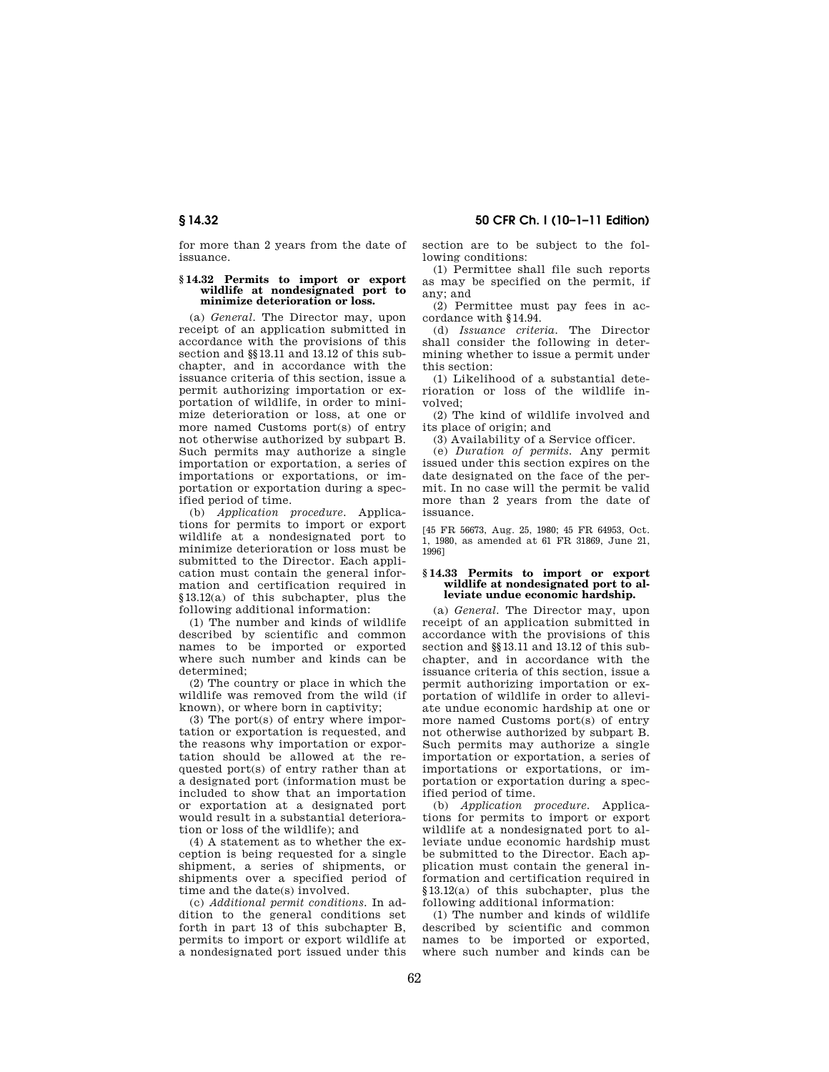for more than 2 years from the date of issuance.

#### **§ 14.32 Permits to import or export wildlife at nondesignated port to minimize deterioration or loss.**

(a) *General.* The Director may, upon receipt of an application submitted in accordance with the provisions of this section and  $\S$ 13.11 and 13.12 of this subchapter, and in accordance with the issuance criteria of this section, issue a permit authorizing importation or exportation of wildlife, in order to minimize deterioration or loss, at one or more named Customs port(s) of entry not otherwise authorized by subpart B. Such permits may authorize a single importation or exportation, a series of importations or exportations, or importation or exportation during a specified period of time.

(b) *Application procedure.* Applications for permits to import or export wildlife at a nondesignated port to minimize deterioration or loss must be submitted to the Director. Each application must contain the general information and certification required in §13.12(a) of this subchapter, plus the following additional information:

(1) The number and kinds of wildlife described by scientific and common names to be imported or exported where such number and kinds can be determined;

(2) The country or place in which the wildlife was removed from the wild (if known), or where born in captivity;

(3) The port(s) of entry where importation or exportation is requested, and the reasons why importation or exportation should be allowed at the requested port(s) of entry rather than at a designated port (information must be included to show that an importation or exportation at a designated port would result in a substantial deterioration or loss of the wildlife); and

(4) A statement as to whether the exception is being requested for a single shipment, a series of shipments, or shipments over a specified period of time and the date(s) involved.

(c) *Additional permit conditions.* In addition to the general conditions set forth in part 13 of this subchapter B, permits to import or export wildlife at a nondesignated port issued under this

section are to be subject to the following conditions:

(1) Permittee shall file such reports as may be specified on the permit, if any; and

(2) Permittee must pay fees in accordance with §14.94.

(d) *Issuance criteria.* The Director shall consider the following in determining whether to issue a permit under this section:

(1) Likelihood of a substantial deterioration or loss of the wildlife involved;

(2) The kind of wildlife involved and its place of origin; and

(3) Availability of a Service officer.

(e) *Duration of permits.* Any permit issued under this section expires on the date designated on the face of the permit. In no case will the permit be valid more than 2 years from the date of issuance.

[45 FR 56673, Aug. 25, 1980; 45 FR 64953, Oct. 1, 1980, as amended at 61 FR 31869, June 21, 1996]

#### **§ 14.33 Permits to import or export wildlife at nondesignated port to alleviate undue economic hardship.**

(a) *General.* The Director may, upon receipt of an application submitted in accordance with the provisions of this section and §§13.11 and 13.12 of this subchapter, and in accordance with the issuance criteria of this section, issue a permit authorizing importation or exportation of wildlife in order to alleviate undue economic hardship at one or more named Customs port(s) of entry not otherwise authorized by subpart B. Such permits may authorize a single importation or exportation, a series of importations or exportations, or importation or exportation during a specified period of time.

(b) *Application procedure.* Applications for permits to import or export wildlife at a nondesignated port to alleviate undue economic hardship must be submitted to the Director. Each application must contain the general information and certification required in §13.12(a) of this subchapter, plus the following additional information:

(1) The number and kinds of wildlife described by scientific and common names to be imported or exported, where such number and kinds can be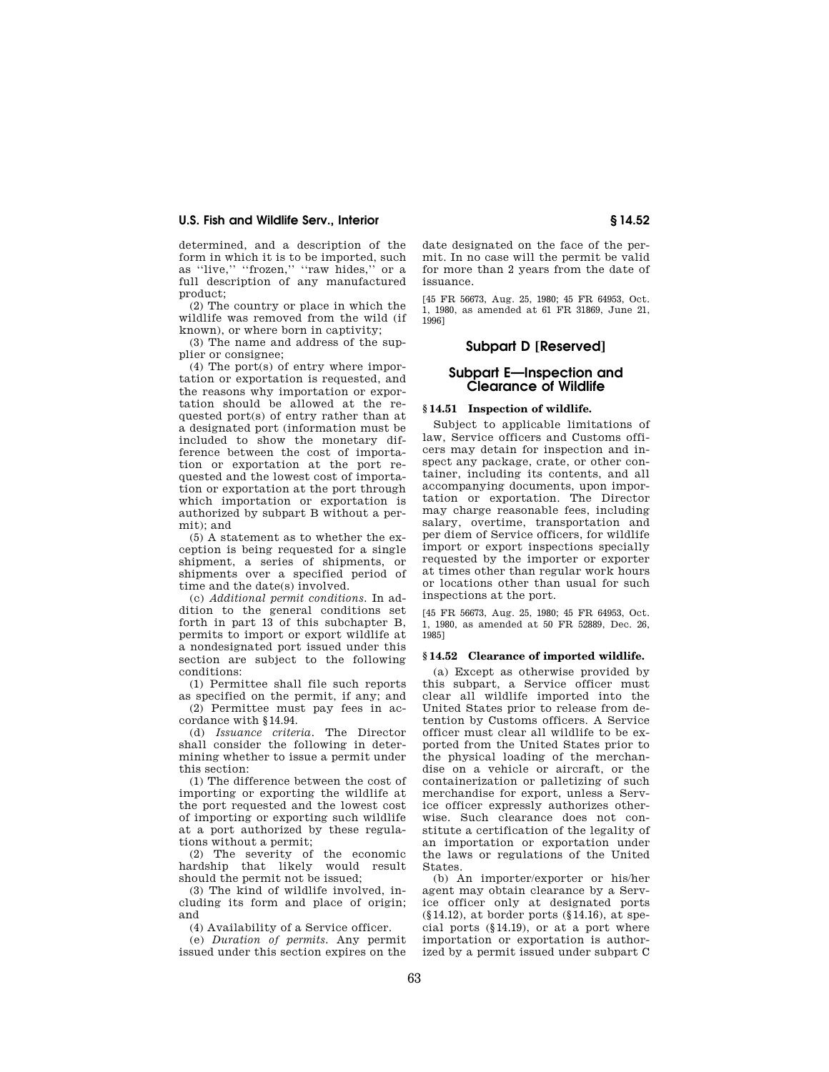determined, and a description of the form in which it is to be imported, such as "live," "frozen," "raw hides," or a full description of any manufactured product;

(2) The country or place in which the wildlife was removed from the wild (if known), or where born in captivity;

(3) The name and address of the supplier or consignee;

(4) The port(s) of entry where importation or exportation is requested, and the reasons why importation or exportation should be allowed at the requested port(s) of entry rather than at a designated port (information must be included to show the monetary difference between the cost of importation or exportation at the port requested and the lowest cost of importation or exportation at the port through which importation or exportation is authorized by subpart B without a permit); and

(5) A statement as to whether the exception is being requested for a single shipment, a series of shipments, or shipments over a specified period of time and the date(s) involved.

(c) *Additional permit conditions.* In addition to the general conditions set forth in part 13 of this subchapter B, permits to import or export wildlife at a nondesignated port issued under this section are subject to the following conditions:

(1) Permittee shall file such reports as specified on the permit, if any; and

(2) Permittee must pay fees in accordance with §14.94.

(d) *Issuance criteria.* The Director shall consider the following in determining whether to issue a permit under this section:

(1) The difference between the cost of importing or exporting the wildlife at the port requested and the lowest cost of importing or exporting such wildlife at a port authorized by these regulations without a permit;

(2) The severity of the economic hardship that likely would result should the permit not be issued;

(3) The kind of wildlife involved, including its form and place of origin; and

(4) Availability of a Service officer.

(e) *Duration of permits.* Any permit issued under this section expires on the

date designated on the face of the permit. In no case will the permit be valid for more than 2 years from the date of issuance.

[45 FR 56673, Aug. 25, 1980; 45 FR 64953, Oct. 1, 1980, as amended at 61 FR 31869, June 21, 1996]

# **Subpart D [Reserved]**

# **Subpart E—Inspection and Clearance of Wildlife**

#### **§ 14.51 Inspection of wildlife.**

Subject to applicable limitations of law, Service officers and Customs officers may detain for inspection and inspect any package, crate, or other container, including its contents, and all accompanying documents, upon importation or exportation. The Director may charge reasonable fees, including salary, overtime, transportation and per diem of Service officers, for wildlife import or export inspections specially requested by the importer or exporter at times other than regular work hours or locations other than usual for such inspections at the port.

[45 FR 56673, Aug. 25, 1980; 45 FR 64953, Oct. 1, 1980, as amended at 50 FR 52889, Dec. 26, 1985]

#### **§ 14.52 Clearance of imported wildlife.**

(a) Except as otherwise provided by this subpart, a Service officer must clear all wildlife imported into the United States prior to release from detention by Customs officers. A Service officer must clear all wildlife to be exported from the United States prior to the physical loading of the merchandise on a vehicle or aircraft, or the containerization or palletizing of such merchandise for export, unless a Service officer expressly authorizes otherwise. Such clearance does not constitute a certification of the legality of an importation or exportation under the laws or regulations of the United States.

(b) An importer/exporter or his/her agent may obtain clearance by a Service officer only at designated ports (§14.12), at border ports (§14.16), at special ports (§14.19), or at a port where importation or exportation is authorized by a permit issued under subpart C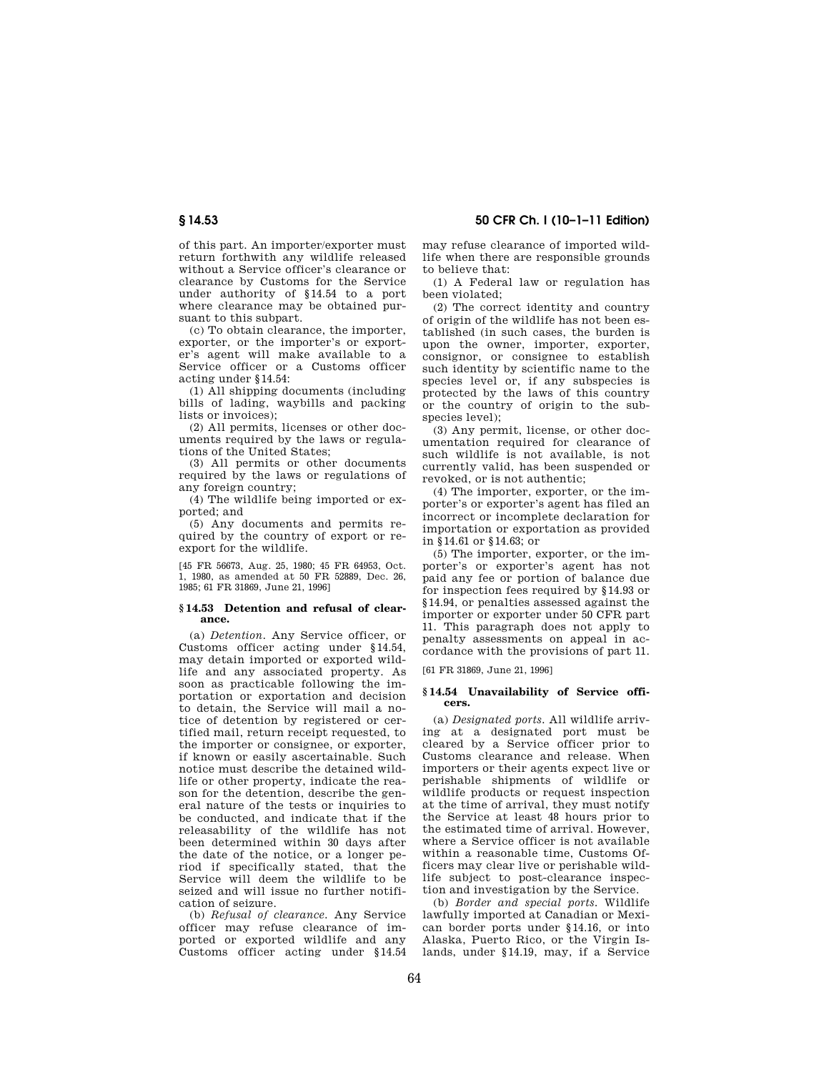of this part. An importer/exporter must return forthwith any wildlife released without a Service officer's clearance or clearance by Customs for the Service under authority of §14.54 to a port where clearance may be obtained pursuant to this subpart.

(c) To obtain clearance, the importer, exporter, or the importer's or exporter's agent will make available to a Service officer or a Customs officer acting under §14.54:

(1) All shipping documents (including bills of lading, waybills and packing lists or invoices);

(2) All permits, licenses or other documents required by the laws or regulations of the United States;

(3) All permits or other documents required by the laws or regulations of any foreign country;

(4) The wildlife being imported or exported; and

(5) Any documents and permits required by the country of export or reexport for the wildlife.

[45 FR 56673, Aug. 25, 1980; 45 FR 64953, Oct. 1, 1980, as amended at 50 FR 52889, Dec. 26, 1985; 61 FR 31869, June 21, 1996]

#### **§ 14.53 Detention and refusal of clearance.**

(a) *Detention.* Any Service officer, or Customs officer acting under §14.54, may detain imported or exported wildlife and any associated property. As soon as practicable following the importation or exportation and decision to detain, the Service will mail a notice of detention by registered or certified mail, return receipt requested, to the importer or consignee, or exporter, if known or easily ascertainable. Such notice must describe the detained wildlife or other property, indicate the reason for the detention, describe the general nature of the tests or inquiries to be conducted, and indicate that if the releasability of the wildlife has not been determined within 30 days after the date of the notice, or a longer period if specifically stated, that the Service will deem the wildlife to be seized and will issue no further notification of seizure.

(b) *Refusal of clearance.* Any Service officer may refuse clearance of imported or exported wildlife and any Customs officer acting under §14.54 may refuse clearance of imported wildlife when there are responsible grounds to believe that:

(1) A Federal law or regulation has been violated;

(2) The correct identity and country of origin of the wildlife has not been established (in such cases, the burden is upon the owner, importer, exporter, consignor, or consignee to establish such identity by scientific name to the species level or, if any subspecies is protected by the laws of this country or the country of origin to the subspecies level);

(3) Any permit, license, or other documentation required for clearance of such wildlife is not available, is not currently valid, has been suspended or revoked, or is not authentic;

(4) The importer, exporter, or the importer's or exporter's agent has filed an incorrect or incomplete declaration for importation or exportation as provided in §14.61 or §14.63; or

(5) The importer, exporter, or the importer's or exporter's agent has not paid any fee or portion of balance due for inspection fees required by §14.93 or §14.94, or penalties assessed against the importer or exporter under 50 CFR part 11. This paragraph does not apply to penalty assessments on appeal in accordance with the provisions of part 11.

[61 FR 31869, June 21, 1996]

#### **§ 14.54 Unavailability of Service officers.**

(a) *Designated ports.* All wildlife arriving at a designated port must be cleared by a Service officer prior to Customs clearance and release. When importers or their agents expect live or perishable shipments of wildlife or wildlife products or request inspection at the time of arrival, they must notify the Service at least 48 hours prior to the estimated time of arrival. However, where a Service officer is not available within a reasonable time, Customs Officers may clear live or perishable wildlife subject to post-clearance inspection and investigation by the Service.

(b) *Border and special ports.* Wildlife lawfully imported at Canadian or Mexican border ports under §14.16, or into Alaska, Puerto Rico, or the Virgin Islands, under §14.19, may, if a Service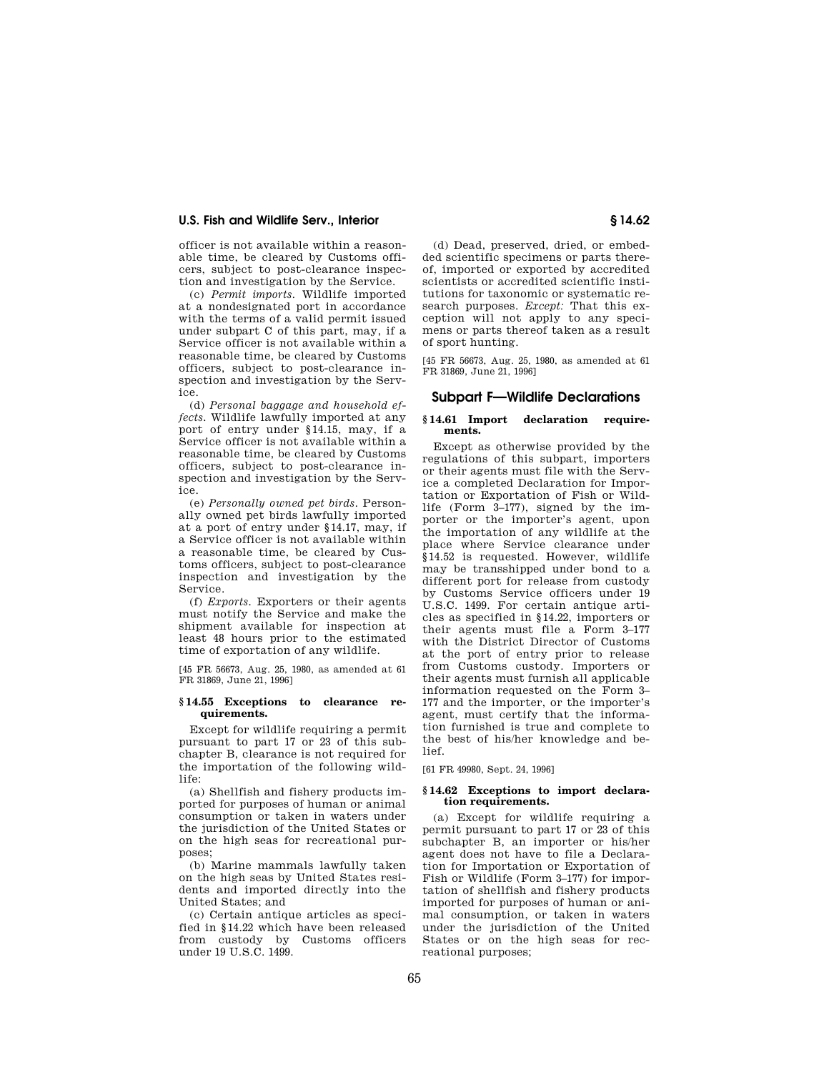officer is not available within a reasonable time, be cleared by Customs officers, subject to post-clearance inspection and investigation by the Service.

(c) *Permit imports.* Wildlife imported at a nondesignated port in accordance with the terms of a valid permit issued under subpart C of this part, may, if a Service officer is not available within a reasonable time, be cleared by Customs officers, subject to post-clearance inspection and investigation by the Service.

(d) *Personal baggage and household effects.* Wildlife lawfully imported at any port of entry under §14.15, may, if a Service officer is not available within a reasonable time, be cleared by Customs officers, subject to post-clearance inspection and investigation by the Service.

(e) *Personally owned pet birds.* Personally owned pet birds lawfully imported at a port of entry under §14.17, may, if a Service officer is not available within a reasonable time, be cleared by Customs officers, subject to post-clearance inspection and investigation by the Service.

(f) *Exports.* Exporters or their agents must notify the Service and make the shipment available for inspection at least 48 hours prior to the estimated time of exportation of any wildlife.

[45 FR 56673, Aug. 25, 1980, as amended at 61 FR 31869, June 21, 1996]

### **§ 14.55 Exceptions to clearance requirements.**

Except for wildlife requiring a permit pursuant to part 17 or 23 of this subchapter B, clearance is not required for the importation of the following wildlife:

(a) Shellfish and fishery products imported for purposes of human or animal consumption or taken in waters under the jurisdiction of the United States or on the high seas for recreational purposes;

(b) Marine mammals lawfully taken on the high seas by United States residents and imported directly into the United States; and

(c) Certain antique articles as specified in §14.22 which have been released from custody by Customs officers under 19 U.S.C. 1499.

(d) Dead, preserved, dried, or embedded scientific specimens or parts thereof, imported or exported by accredited scientists or accredited scientific institutions for taxonomic or systematic research purposes. *Except:* That this exception will not apply to any specimens or parts thereof taken as a result of sport hunting.

[45 FR 56673, Aug. 25, 1980, as amended at 61 FR 31869, June 21, 1996]

# **Subpart F—Wildlife Declarations**

#### **§ 14.61 Import declaration requirements.**

Except as otherwise provided by the regulations of this subpart, importers or their agents must file with the Service a completed Declaration for Importation or Exportation of Fish or Wildlife (Form 3–177), signed by the importer or the importer's agent, upon the importation of any wildlife at the place where Service clearance under §14.52 is requested. However, wildlife may be transshipped under bond to a different port for release from custody by Customs Service officers under 19 U.S.C. 1499. For certain antique articles as specified in §14.22, importers or their agents must file a Form 3–177 with the District Director of Customs at the port of entry prior to release from Customs custody. Importers or their agents must furnish all applicable information requested on the Form 3– 177 and the importer, or the importer's agent, must certify that the information furnished is true and complete to the best of his/her knowledge and belief.

[61 FR 49980, Sept. 24, 1996]

### **§ 14.62 Exceptions to import declaration requirements.**

(a) Except for wildlife requiring a permit pursuant to part 17 or 23 of this subchapter B, an importer or his/her agent does not have to file a Declaration for Importation or Exportation of Fish or Wildlife (Form 3–177) for importation of shellfish and fishery products imported for purposes of human or animal consumption, or taken in waters under the jurisdiction of the United States or on the high seas for recreational purposes;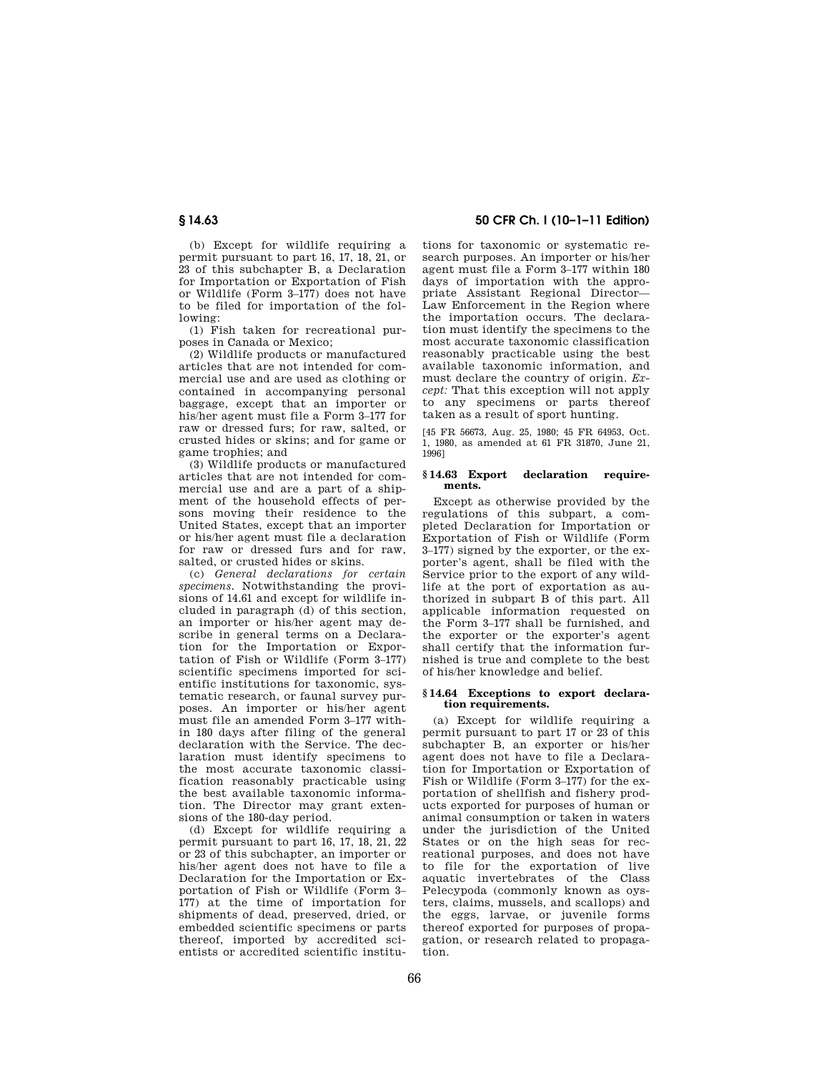(b) Except for wildlife requiring a permit pursuant to part 16, 17, 18, 21, or 23 of this subchapter B, a Declaration for Importation or Exportation of Fish or Wildlife (Form 3–177) does not have to be filed for importation of the following:

(1) Fish taken for recreational purposes in Canada or Mexico;

(2) Wildlife products or manufactured articles that are not intended for commercial use and are used as clothing or contained in accompanying personal baggage, except that an importer or his/her agent must file a Form 3–177 for raw or dressed furs; for raw, salted, or crusted hides or skins; and for game or game trophies; and

(3) Wildlife products or manufactured articles that are not intended for commercial use and are a part of a shipment of the household effects of persons moving their residence to the United States, except that an importer or his/her agent must file a declaration for raw or dressed furs and for raw, salted, or crusted hides or skins.

(c) *General declarations for certain specimens.* Notwithstanding the provisions of 14.61 and except for wildlife included in paragraph (d) of this section, an importer or his/her agent may describe in general terms on a Declaration for the Importation or Exportation of Fish or Wildlife (Form 3–177) scientific specimens imported for scientific institutions for taxonomic, systematic research, or faunal survey purposes. An importer or his/her agent must file an amended Form 3–177 within 180 days after filing of the general declaration with the Service. The declaration must identify specimens to the most accurate taxonomic classification reasonably practicable using the best available taxonomic information. The Director may grant extensions of the 180-day period.

(d) Except for wildlife requiring a permit pursuant to part 16, 17, 18, 21, 22 or 23 of this subchapter, an importer or his/her agent does not have to file a Declaration for the Importation or Exportation of Fish or Wildlife (Form 3– 177) at the time of importation for shipments of dead, preserved, dried, or embedded scientific specimens or parts thereof, imported by accredited scientists or accredited scientific institu-

# **§ 14.63 50 CFR Ch. I (10–1–11 Edition)**

tions for taxonomic or systematic research purposes. An importer or his/her agent must file a Form 3–177 within 180 days of importation with the appropriate Assistant Regional Director— Law Enforcement in the Region where the importation occurs. The declaration must identify the specimens to the most accurate taxonomic classification reasonably practicable using the best available taxonomic information, and must declare the country of origin. *Except:* That this exception will not apply to any specimens or parts thereof taken as a result of sport hunting.

[45 FR 56673, Aug. 25, 1980; 45 FR 64953, Oct. 1, 1980, as amended at 61 FR 31870, June 21, 1996]

#### **§ 14.63 Export declaration requirements.**

Except as otherwise provided by the regulations of this subpart, a completed Declaration for Importation or Exportation of Fish or Wildlife (Form 3–177) signed by the exporter, or the exporter's agent, shall be filed with the Service prior to the export of any wildlife at the port of exportation as authorized in subpart B of this part. All applicable information requested on the Form 3–177 shall be furnished, and the exporter or the exporter's agent shall certify that the information furnished is true and complete to the best of his/her knowledge and belief.

### **§ 14.64 Exceptions to export declaration requirements.**

(a) Except for wildlife requiring a permit pursuant to part 17 or 23 of this subchapter B, an exporter or his/her agent does not have to file a Declaration for Importation or Exportation of Fish or Wildlife (Form 3–177) for the exportation of shellfish and fishery products exported for purposes of human or animal consumption or taken in waters under the jurisdiction of the United States or on the high seas for recreational purposes, and does not have to file for the exportation of live aquatic invertebrates of the Class Pelecypoda (commonly known as oysters, claims, mussels, and scallops) and the eggs, larvae, or juvenile forms thereof exported for purposes of propagation, or research related to propagation.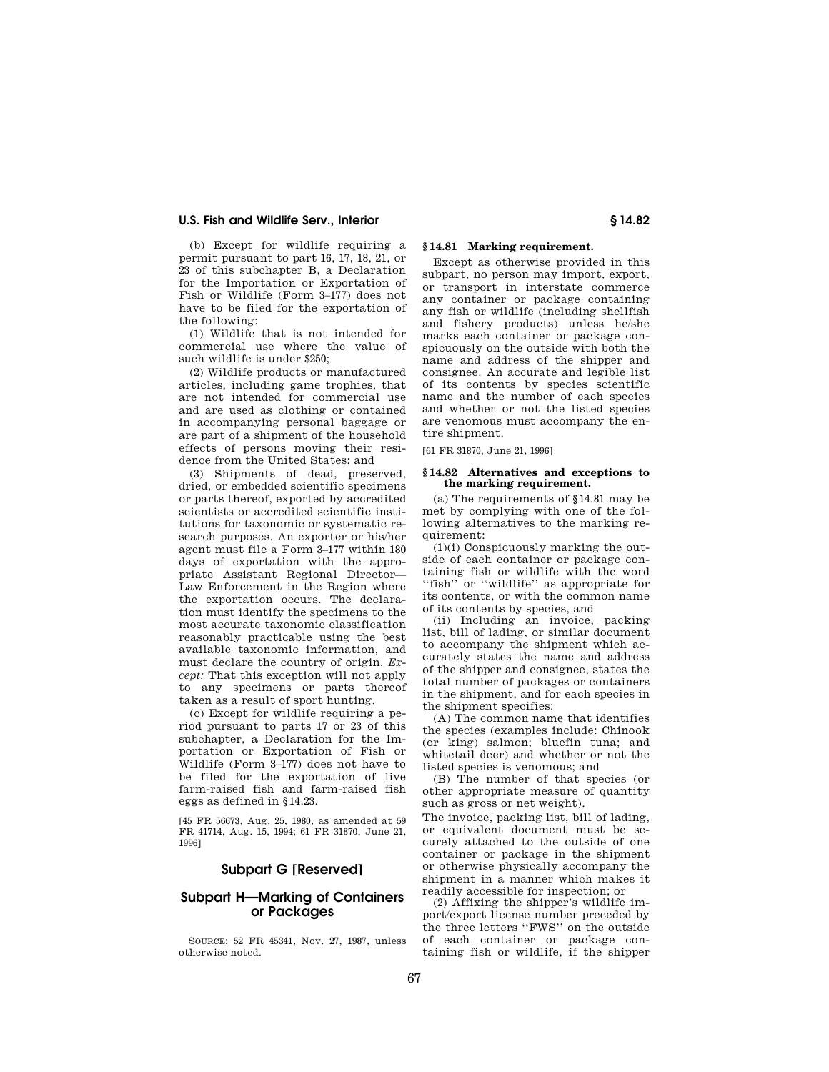(b) Except for wildlife requiring a permit pursuant to part 16, 17, 18, 21, or 23 of this subchapter B, a Declaration for the Importation or Exportation of Fish or Wildlife (Form 3–177) does not have to be filed for the exportation of the following:

(1) Wildlife that is not intended for commercial use where the value of such wildlife is under \$250;

(2) Wildlife products or manufactured articles, including game trophies, that are not intended for commercial use and are used as clothing or contained in accompanying personal baggage or are part of a shipment of the household effects of persons moving their residence from the United States; and

(3) Shipments of dead, preserved, dried, or embedded scientific specimens or parts thereof, exported by accredited scientists or accredited scientific institutions for taxonomic or systematic research purposes. An exporter or his/her agent must file a Form 3–177 within 180 days of exportation with the appropriate Assistant Regional Director— Law Enforcement in the Region where the exportation occurs. The declaration must identify the specimens to the most accurate taxonomic classification reasonably practicable using the best available taxonomic information, and must declare the country of origin. *Except:* That this exception will not apply to any specimens or parts thereof taken as a result of sport hunting.

(c) Except for wildlife requiring a period pursuant to parts 17 or 23 of this subchapter, a Declaration for the Importation or Exportation of Fish or Wildlife (Form 3–177) does not have to be filed for the exportation of live farm-raised fish and farm-raised fish eggs as defined in §14.23.

[45 FR 56673, Aug. 25, 1980, as amended at 59 FR 41714, Aug. 15, 1994; 61 FR 31870, June 21, 1996]

# **Subpart G [Reserved]**

# **Subpart H—Marking of Containers or Packages**

SOURCE: 52 FR 45341, Nov. 27, 1987, unless otherwise noted.

# **§ 14.81 Marking requirement.**

Except as otherwise provided in this subpart, no person may import, export, or transport in interstate commerce any container or package containing any fish or wildlife (including shellfish and fishery products) unless he/she marks each container or package conspicuously on the outside with both the name and address of the shipper and consignee. An accurate and legible list of its contents by species scientific name and the number of each species and whether or not the listed species are venomous must accompany the entire shipment.

[61 FR 31870, June 21, 1996]

### **§ 14.82 Alternatives and exceptions to the marking requirement.**

(a) The requirements of §14.81 may be met by complying with one of the following alternatives to the marking requirement:

(1)(i) Conspicuously marking the outside of each container or package containing fish or wildlife with the word ''fish'' or ''wildlife'' as appropriate for its contents, or with the common name of its contents by species, and

(ii) Including an invoice, packing list, bill of lading, or similar document to accompany the shipment which accurately states the name and address of the shipper and consignee, states the total number of packages or containers in the shipment, and for each species in the shipment specifies:

(A) The common name that identifies the species (examples include: Chinook (or king) salmon; bluefin tuna; and whitetail deer) and whether or not the listed species is venomous; and

(B) The number of that species (or other appropriate measure of quantity such as gross or net weight).

The invoice, packing list, bill of lading, or equivalent document must be securely attached to the outside of one container or package in the shipment or otherwise physically accompany the shipment in a manner which makes it readily accessible for inspection; or

(2) Affixing the shipper's wildlife import/export license number preceded by the three letters ''FWS'' on the outside of each container or package containing fish or wildlife, if the shipper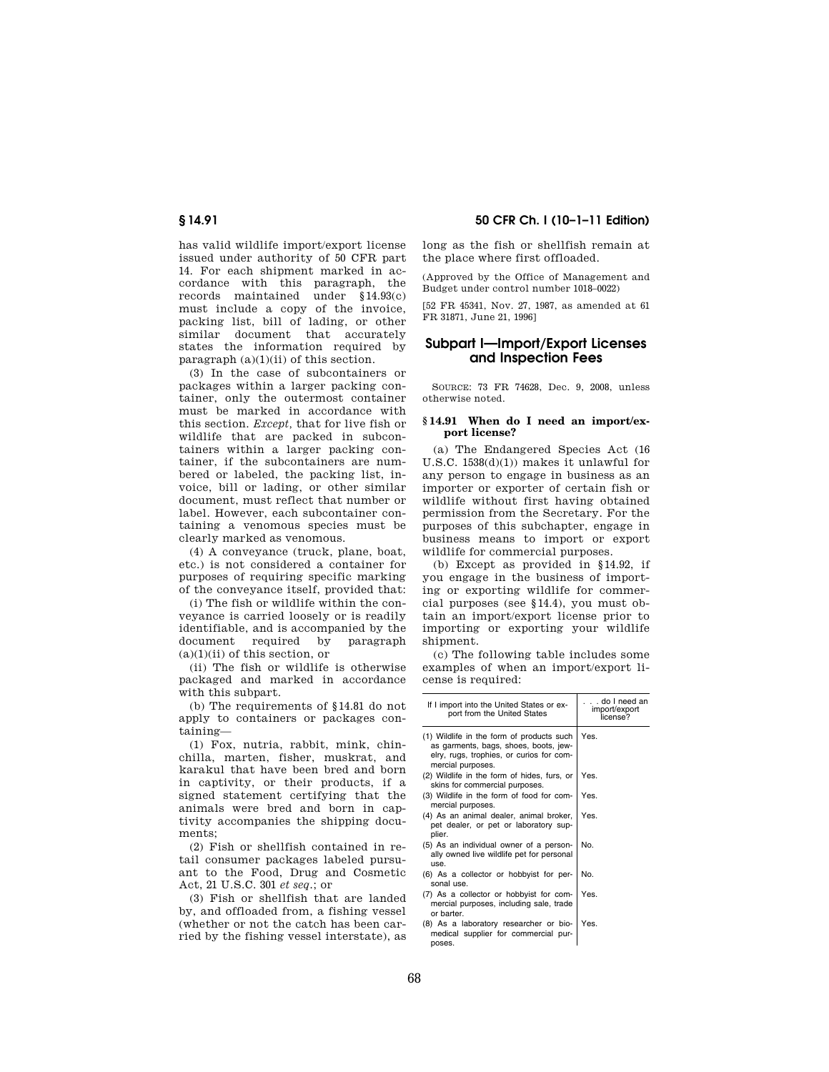68

**§ 14.91 50 CFR Ch. I (10–1–11 Edition)** 

has valid wildlife import/export license issued under authority of 50 CFR part 14. For each shipment marked in accordance with this paragraph, the records maintained under §14.93(c) must include a copy of the invoice, packing list, bill of lading, or other similar document that accurately states the information required by paragraph  $(a)(1)(ii)$  of this section.

(3) In the case of subcontainers or packages within a larger packing container, only the outermost container must be marked in accordance with this section. *Except,* that for live fish or wildlife that are packed in subcontainers within a larger packing container, if the subcontainers are numbered or labeled, the packing list, invoice, bill or lading, or other similar document, must reflect that number or label. However, each subcontainer containing a venomous species must be clearly marked as venomous.

(4) A conveyance (truck, plane, boat, etc.) is not considered a container for purposes of requiring specific marking of the conveyance itself, provided that:

(i) The fish or wildlife within the conveyance is carried loosely or is readily identifiable, and is accompanied by the document required by paragraph  $(a)(1)(ii)$  of this section, or

(ii) The fish or wildlife is otherwise packaged and marked in accordance with this subpart.

(b) The requirements of §14.81 do not apply to containers or packages containing—

(1) Fox, nutria, rabbit, mink, chinchilla, marten, fisher, muskrat, and karakul that have been bred and born in captivity, or their products, if a signed statement certifying that the animals were bred and born in captivity accompanies the shipping documents;

(2) Fish or shellfish contained in retail consumer packages labeled pursuant to the Food, Drug and Cosmetic Act, 21 U.S.C. 301 *et seq.*; or

(3) Fish or shellfish that are landed by, and offloaded from, a fishing vessel (whether or not the catch has been carried by the fishing vessel interstate), as

long as the fish or shellfish remain at the place where first offloaded.

(Approved by the Office of Management and Budget under control number 1018–0022)

[52 FR 45341, Nov. 27, 1987, as amended at 61 FR 31871, June 21, 1996]

# **Subpart I—Import/Export Licenses and Inspection Fees**

SOURCE: 73 FR 74628, Dec. 9, 2008, unless otherwise noted.

#### **§ 14.91 When do I need an import/export license?**

(a) The Endangered Species Act (16 U.S.C. 1538(d)(1)) makes it unlawful for any person to engage in business as an importer or exporter of certain fish or wildlife without first having obtained permission from the Secretary. For the purposes of this subchapter, engage in business means to import or export wildlife for commercial purposes.

(b) Except as provided in §14.92, if you engage in the business of importing or exporting wildlife for commercial purposes (see §14.4), you must obtain an import/export license prior to importing or exporting your wildlife shipment.

(c) The following table includes some examples of when an import/export license is required:

| If I import into the United States or ex-<br>port from the United States                                                                            | . do I need an<br>import/export<br>license? |
|-----------------------------------------------------------------------------------------------------------------------------------------------------|---------------------------------------------|
| (1) Wildlife in the form of products such<br>as garments, bags, shoes, boots, jew-<br>elry, rugs, trophies, or curios for com-<br>mercial purposes. | Yes.                                        |
| (2) Wildlife in the form of hides, furs, or<br>skins for commercial purposes.                                                                       | Yes.                                        |
| (3) Wildlife in the form of food for com-<br>mercial purposes.                                                                                      | Yes.                                        |
| (4) As an animal dealer, animal broker,<br>pet dealer, or pet or laboratory sup-<br>plier.                                                          | Yes.                                        |
| (5) As an individual owner of a person-<br>ally owned live wildlife pet for personal<br>use.                                                        | No.                                         |
| (6) As a collector or hobbyist for per-<br>sonal use.                                                                                               | No.                                         |
| (7) As a collector or hobbyist for com-<br>mercial purposes, including sale, trade<br>or barter.                                                    | Yes.                                        |
| (8) As a laboratory researcher or bio-<br>medical supplier for commercial pur-<br>poses.                                                            | Yes.                                        |
|                                                                                                                                                     |                                             |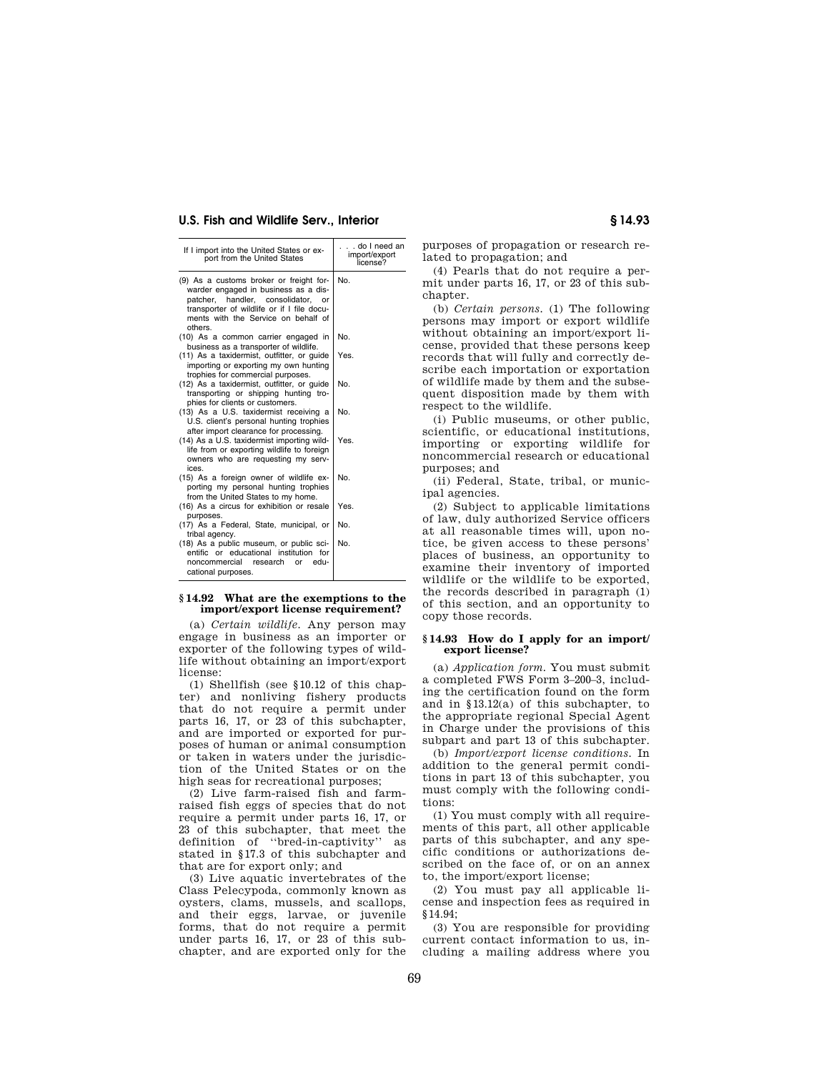| If I import into the United States or ex-<br>port from the United States                                                                                                                                                 | . do I need an<br>import/export<br>license? |
|--------------------------------------------------------------------------------------------------------------------------------------------------------------------------------------------------------------------------|---------------------------------------------|
| (9) As a customs broker or freight for-<br>warder engaged in business as a dis-<br>patcher, handler, consolidator,<br>or<br>transporter of wildlife or if I file docu-<br>ments with the Service on behalf of<br>others. | No.                                         |
| (10) As a common carrier engaged in<br>business as a transporter of wildlife.                                                                                                                                            | No.                                         |
| (11) As a taxidermist, outfitter, or quide<br>importing or exporting my own hunting<br>trophies for commercial purposes.                                                                                                 | Yes.                                        |
| (12) As a taxidermist, outfitter, or quide<br>transporting or shipping hunting tro-<br>phies for clients or customers.                                                                                                   | No.                                         |
| (13) As a U.S. taxidermist receiving a<br>U.S. client's personal hunting trophies<br>after import clearance for processing.                                                                                              | No.                                         |
| (14) As a U.S. taxidermist importing wild-<br>life from or exporting wildlife to foreign<br>owners who are requesting my serv-<br>ices.                                                                                  | Yes.                                        |
| (15) As a foreign owner of wildlife ex-<br>porting my personal hunting trophies<br>from the United States to my home.                                                                                                    | No.                                         |
| (16) As a circus for exhibition or resale<br>purposes.                                                                                                                                                                   | Yes.                                        |
| (17) As a Federal, State, municipal, or<br>tribal agency.                                                                                                                                                                | No.                                         |
| (18) As a public museum, or public sci-<br>entific or educational institution for<br>noncommercial research<br>edu-<br>or<br>cational purposes.                                                                          | No.                                         |

#### **§ 14.92 What are the exemptions to the import/export license requirement?**

(a) *Certain wildlife.* Any person may engage in business as an importer or exporter of the following types of wildlife without obtaining an import/export license:

(1) Shellfish (see §10.12 of this chapter) and nonliving fishery products that do not require a permit under parts 16, 17, or 23 of this subchapter, and are imported or exported for purposes of human or animal consumption or taken in waters under the jurisdiction of the United States or on the high seas for recreational purposes;

(2) Live farm-raised fish and farmraised fish eggs of species that do not require a permit under parts 16, 17, or 23 of this subchapter, that meet the definition of ''bred-in-captivity'' as stated in §17.3 of this subchapter and that are for export only; and

(3) Live aquatic invertebrates of the Class Pelecypoda, commonly known as oysters, clams, mussels, and scallops, and their eggs, larvae, or juvenile forms, that do not require a permit under parts 16, 17, or 23 of this subchapter, and are exported only for the

purposes of propagation or research related to propagation; and

(4) Pearls that do not require a permit under parts 16, 17, or 23 of this subchapter.

(b) *Certain persons.* (1) The following persons may import or export wildlife without obtaining an import/export license, provided that these persons keep records that will fully and correctly describe each importation or exportation of wildlife made by them and the subsequent disposition made by them with respect to the wildlife.

(i) Public museums, or other public, scientific, or educational institutions, importing or exporting wildlife for noncommercial research or educational purposes; and

(ii) Federal, State, tribal, or municipal agencies.

(2) Subject to applicable limitations of law, duly authorized Service officers at all reasonable times will, upon notice, be given access to these persons' places of business, an opportunity to examine their inventory of imported wildlife or the wildlife to be exported. the records described in paragraph (1) of this section, and an opportunity to copy those records.

### **§ 14.93 How do I apply for an import/ export license?**

(a) *Application form.* You must submit a completed FWS Form 3–200–3, including the certification found on the form and in §13.12(a) of this subchapter, to the appropriate regional Special Agent in Charge under the provisions of this subpart and part 13 of this subchapter.

(b) *Import/export license conditions.* In addition to the general permit conditions in part 13 of this subchapter, you must comply with the following conditions:

(1) You must comply with all requirements of this part, all other applicable parts of this subchapter, and any specific conditions or authorizations described on the face of, or on an annex to, the import/export license;

(2) You must pay all applicable license and inspection fees as required in §14.94;

(3) You are responsible for providing current contact information to us, including a mailing address where you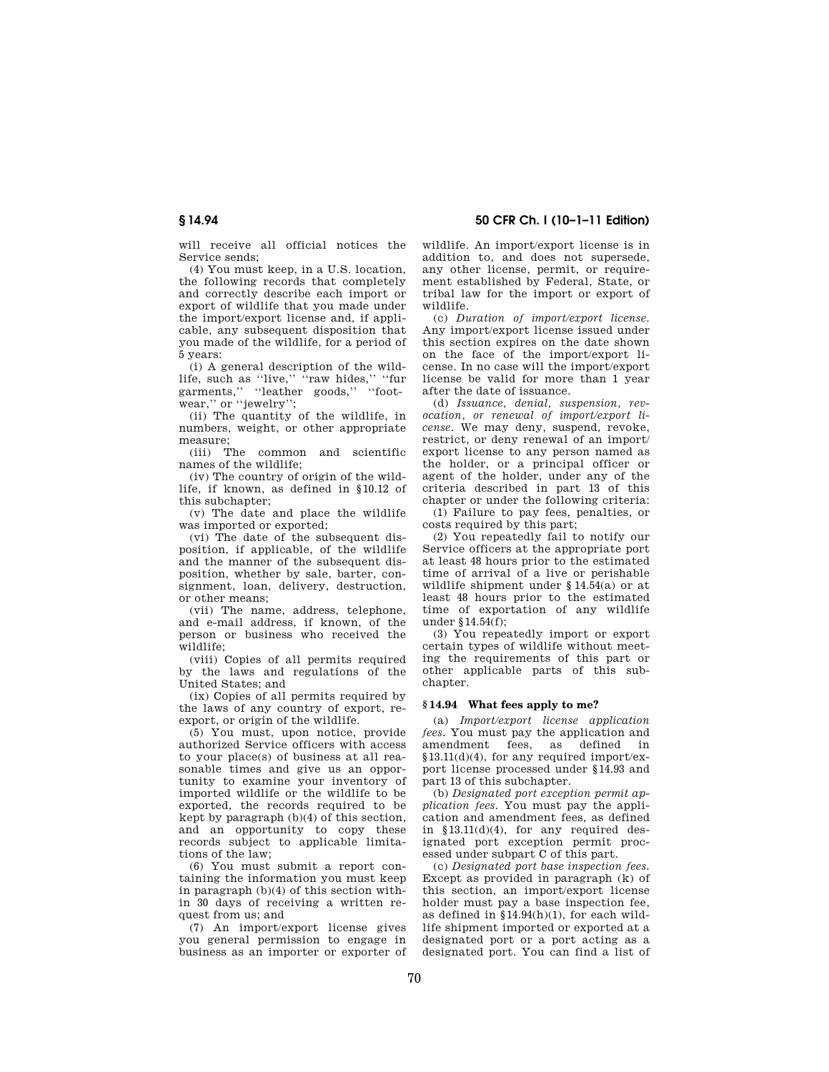chapter. **§ 14.94 What fees apply to me?**  (a) *Import/export license application fees.* You must pay the application and

(3) You repeatedly import or export certain types of wildlife without meeting the requirements of this part or other applicable parts of this sub-

amendment fees, as defined in §13.11(d)(4), for any required import/export license processed under §14.93 and part 13 of this subchapter.

(b) *Designated port exception permit application fees.* You must pay the application and amendment fees, as defined in  $$13.11(d)(4)$ , for any required designated port exception permit processed under subpart C of this part.

(c) *Designated port base inspection fees.*  Except as provided in paragraph (k) of this section, an import/export license holder must pay a base inspection fee, as defined in §14.94(h)(1), for each wildlife shipment imported or exported at a designated port or a port acting as a designated port. You can find a list of

**§ 14.94 50 CFR Ch. I (10–1–11 Edition)** 

wildlife. An import/export license is in addition to, and does not supersede, any other license, permit, or requirement established by Federal, State, or tribal law for the import or export of

(c) *Duration of import/export license.*  Any import/export license issued under this section expires on the date shown on the face of the import/export license. In no case will the import/export license be valid for more than 1 year

(d) *Issuance, denial, suspension, revocation, or renewal of import/export license.* We may deny, suspend, revoke, restrict, or deny renewal of an import/ export license to any person named as the holder, or a principal officer or agent of the holder, under any of the criteria described in part 13 of this chapter or under the following criteria: (1) Failure to pay fees, penalties, or

(2) You repeatedly fail to notify our Service officers at the appropriate port at least 48 hours prior to the estimated time of arrival of a live or perishable wildlife shipment under § 14.54(a) or at least 48 hours prior to the estimated time of exportation of any wildlife

after the date of issuance.

costs required by this part;

under §14.54(f);

wildlife.

will receive all official notices the Service sends;

(4) You must keep, in a U.S. location, the following records that completely and correctly describe each import or export of wildlife that you made under the import/export license and, if applicable, any subsequent disposition that you made of the wildlife, for a period of 5 years:

(i) A general description of the wildlife, such as "live," "raw hides," "fur garments," "leather goods," "footwear,'' or ''jewelry'';

(ii) The quantity of the wildlife, in numbers, weight, or other appropriate measure;

(iii) The common and scientific names of the wildlife;

(iv) The country of origin of the wildlife, if known, as defined in §10.12 of this subchapter;

(v) The date and place the wildlife was imported or exported;

(vi) The date of the subsequent disposition, if applicable, of the wildlife and the manner of the subsequent disposition, whether by sale, barter, consignment, loan, delivery, destruction, or other means;

(vii) The name, address, telephone, and e-mail address, if known, of the person or business who received the wildlife;

(viii) Copies of all permits required by the laws and regulations of the United States; and

(ix) Copies of all permits required by the laws of any country of export, reexport, or origin of the wildlife.

(5) You must, upon notice, provide authorized Service officers with access to your place(s) of business at all reasonable times and give us an opportunity to examine your inventory of imported wildlife or the wildlife to be exported, the records required to be kept by paragraph (b)(4) of this section, and an opportunity to copy these records subject to applicable limitations of the law;

(6) You must submit a report containing the information you must keep in paragraph (b)(4) of this section within 30 days of receiving a written request from us; and

(7) An import/export license gives you general permission to engage in business as an importer or exporter of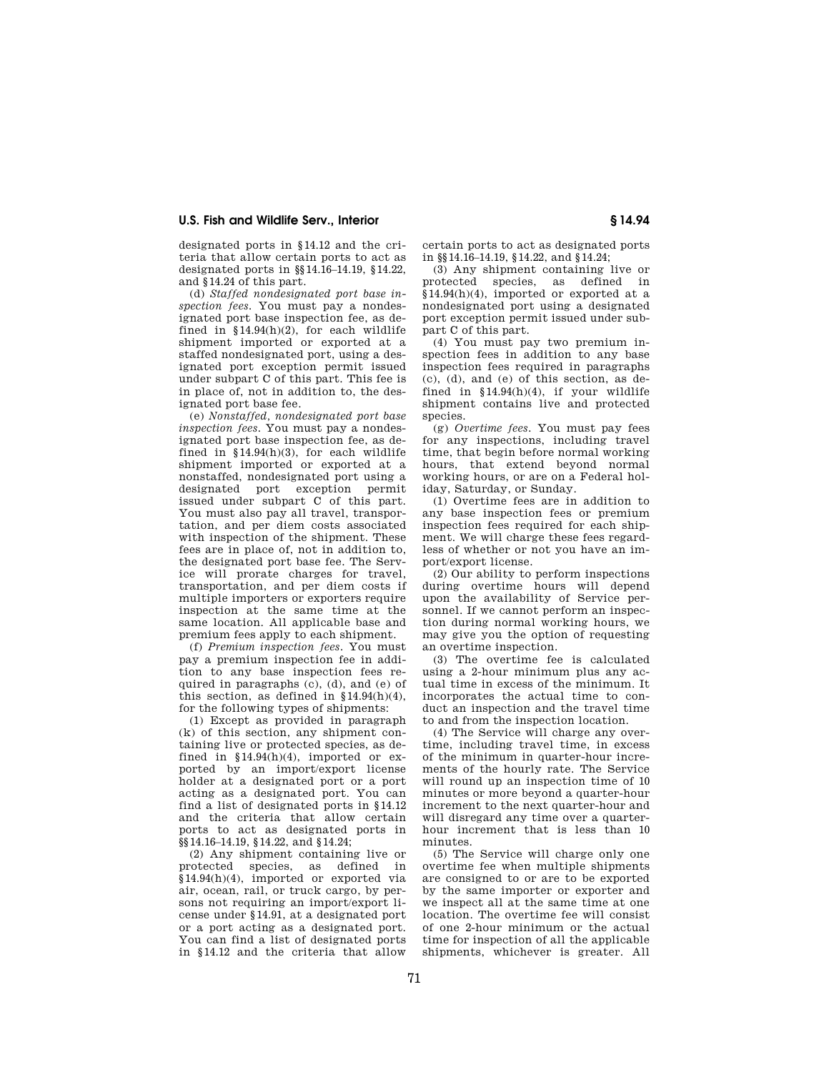designated ports in §14.12 and the criteria that allow certain ports to act as designated ports in §§14.16–14.19, §14.22, and §14.24 of this part.

(d) *Staffed nondesignated port base inspection fees.* You must pay a nondesignated port base inspection fee, as defined in §14.94(h)(2), for each wildlife shipment imported or exported at a staffed nondesignated port, using a designated port exception permit issued under subpart C of this part. This fee is in place of, not in addition to, the designated port base fee.

(e) *Nonstaffed, nondesignated port base inspection fees.* You must pay a nondesignated port base inspection fee, as defined in §14.94(h)(3), for each wildlife shipment imported or exported at a nonstaffed, nondesignated port using a designated port exception permit issued under subpart C of this part. You must also pay all travel, transportation, and per diem costs associated with inspection of the shipment. These fees are in place of, not in addition to, the designated port base fee. The Service will prorate charges for travel, transportation, and per diem costs if multiple importers or exporters require inspection at the same time at the same location. All applicable base and premium fees apply to each shipment.

(f) *Premium inspection fees.* You must pay a premium inspection fee in addition to any base inspection fees required in paragraphs  $(c)$ ,  $(d)$ , and  $(e)$  of this section, as defined in  $$14.94(h)(4)$ , for the following types of shipments:

(1) Except as provided in paragraph (k) of this section, any shipment containing live or protected species, as defined in  $$14.94(h)(4)$ , imported or exported by an import/export license holder at a designated port or a port acting as a designated port. You can find a list of designated ports in §14.12 and the criteria that allow certain ports to act as designated ports in §§14.16–14.19, §14.22, and §14.24;

(2) Any shipment containing live or<br>protected species, as defined in defined in §14.94(h)(4), imported or exported via air, ocean, rail, or truck cargo, by persons not requiring an import/export license under §14.91, at a designated port or a port acting as a designated port. You can find a list of designated ports in §14.12 and the criteria that allow certain ports to act as designated ports in §§14.16–14.19, §14.22, and §14.24;

(3) Any shipment containing live or protected species, as defined in §14.94(h)(4), imported or exported at a nondesignated port using a designated port exception permit issued under subpart C of this part.

(4) You must pay two premium inspection fees in addition to any base inspection fees required in paragraphs (c), (d), and (e) of this section, as defined in §14.94(h)(4), if your wildlife shipment contains live and protected species

(g) *Overtime fees.* You must pay fees for any inspections, including travel time, that begin before normal working hours, that extend beyond normal working hours, or are on a Federal holiday, Saturday, or Sunday.

(1) Overtime fees are in addition to any base inspection fees or premium inspection fees required for each shipment. We will charge these fees regardless of whether or not you have an import/export license.

(2) Our ability to perform inspections during overtime hours will depend upon the availability of Service personnel. If we cannot perform an inspection during normal working hours, we may give you the option of requesting an overtime inspection.

(3) The overtime fee is calculated using a 2-hour minimum plus any actual time in excess of the minimum. It incorporates the actual time to conduct an inspection and the travel time to and from the inspection location.

(4) The Service will charge any overtime, including travel time, in excess of the minimum in quarter-hour increments of the hourly rate. The Service will round up an inspection time of 10 minutes or more beyond a quarter-hour increment to the next quarter-hour and will disregard any time over a quarterhour increment that is less than 10 minutes.

(5) The Service will charge only one overtime fee when multiple shipments are consigned to or are to be exported by the same importer or exporter and we inspect all at the same time at one location. The overtime fee will consist of one 2-hour minimum or the actual time for inspection of all the applicable shipments, whichever is greater. All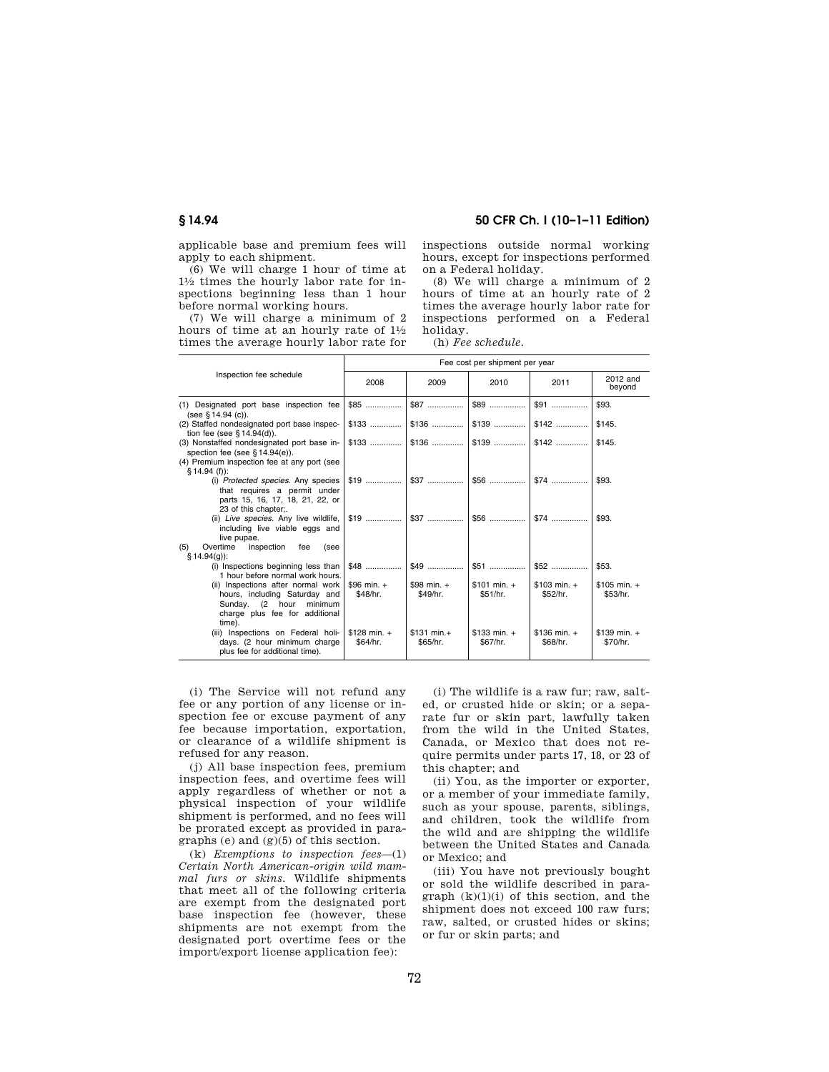applicable base and premium fees will apply to each shipment.

(6) We will charge 1 hour of time at 11⁄2 times the hourly labor rate for inspections beginning less than 1 hour before normal working hours.

(7) We will charge a minimum of 2 hours of time at an hourly rate of  $1\frac{1}{2}$ times the average hourly labor rate for

# **§ 14.94 50 CFR Ch. I (10–1–11 Edition)**

inspections outside normal working hours, except for inspections performed on a Federal holiday.

(8) We will charge a minimum of 2 hours of time at an hourly rate of 2 times the average hourly labor rate for inspections performed on a Federal holiday.

(h) *Fee schedule.* 

|                                                                                                                                                 | Fee cost per shipment per year |                           |                           |                           |                           |
|-------------------------------------------------------------------------------------------------------------------------------------------------|--------------------------------|---------------------------|---------------------------|---------------------------|---------------------------|
| Inspection fee schedule<br>2008<br>2009                                                                                                         | 2010                           | 2011                      | 2012 and<br>beyond        |                           |                           |
| (1) Designated port base inspection fee<br>(see § 14.94 (c)).                                                                                   | $$85$                          | $$87$                     | \$89                      | $$91$                     | \$93.                     |
| (2) Staffed nondesignated port base inspec-<br>tion fee (see § 14.94(d)).                                                                       | $$133$                         | $$136$                    | $$139$                    | $$142$                    | \$145.                    |
| (3) Nonstaffed nondesignated port base in-<br>spection fee (see $§ 14.94(e)$ ).<br>(4) Premium inspection fee at any port (see<br>$$14.94(f)$ : | $$133$                         |                           |                           | $$142$                    | \$145.                    |
| (i) Protected species. Any species<br>that requires a permit under<br>parts 15, 16, 17, 18, 21, 22, or<br>23 of this chapter;.                  |                                |                           | $$56$                     | $$74$                     | \$93.                     |
| (ii) Live species. Any live wildlife,<br>including live viable eggs and<br>live pupae.<br>(5)<br>Overtime<br>inspection<br>fee<br>(see          | $$19$                          | $$37$                     | $$56$                     | $$74$                     | \$93.                     |
| $§ 14.94(q)$ :<br>(i) Inspections beginning less than<br>1 hour before normal work hours.                                                       | $$48$                          | $$49$                     | $$51$                     | $$52$                     | \$53.                     |
| (ii) Inspections after normal work<br>hours, including Saturday and<br>Sunday. (2 hour<br>minimum<br>charge plus fee for additional<br>time).   | \$96 min. $+$<br>\$48/hr.      | \$98 min. $+$<br>\$49/hr. | $$101 min. +$<br>\$51/hr. | $$103 min. +$<br>\$52/hr. | $$105 min. +$<br>\$53/hr. |
| (iii) Inspections on Federal holi-<br>days. (2 hour minimum charge<br>plus fee for additional time).                                            | $$128$ min. +<br>\$64/hr.      | $$131 min.+$<br>\$65/hr.  | $$133$ min. +<br>\$67/hr. | $$136 min. +$<br>\$68/hr. | $$139$ min. +<br>\$70/hr. |

(i) The Service will not refund any fee or any portion of any license or inspection fee or excuse payment of any fee because importation, exportation, or clearance of a wildlife shipment is refused for any reason.

(j) All base inspection fees, premium inspection fees, and overtime fees will apply regardless of whether or not a physical inspection of your wildlife shipment is performed, and no fees will be prorated except as provided in paragraphs (e) and (g)(5) of this section.

(k) *Exemptions to inspection fees*—(1) *Certain North American-origin wild mammal furs or skins.* Wildlife shipments that meet all of the following criteria are exempt from the designated port base inspection fee (however, these shipments are not exempt from the designated port overtime fees or the import/export license application fee):

(i) The wildlife is a raw fur; raw, salted, or crusted hide or skin; or a separate fur or skin part, lawfully taken from the wild in the United States, Canada, or Mexico that does not require permits under parts 17, 18, or 23 of this chapter; and

(ii) You, as the importer or exporter, or a member of your immediate family, such as your spouse, parents, siblings, and children, took the wildlife from the wild and are shipping the wildlife between the United States and Canada or Mexico; and

(iii) You have not previously bought or sold the wildlife described in paragraph  $(k)(1)(i)$  of this section, and the shipment does not exceed 100 raw furs; raw, salted, or crusted hides or skins; or fur or skin parts; and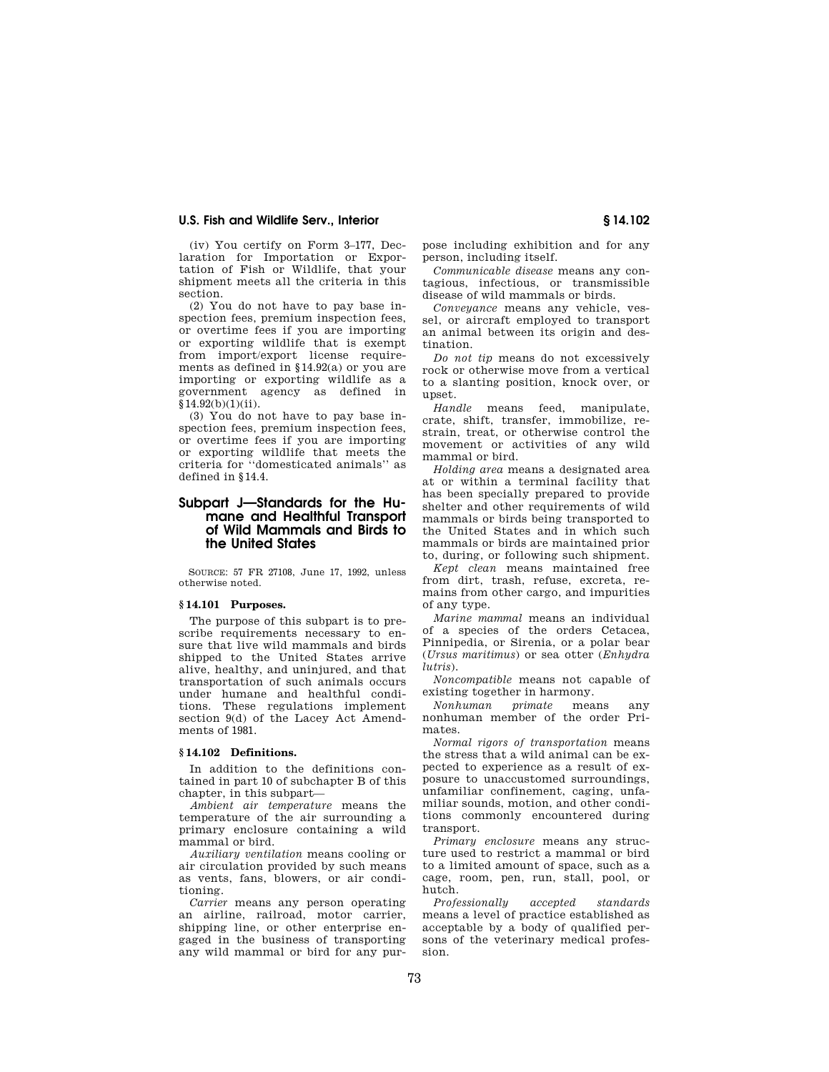(iv) You certify on Form 3–177, Declaration for Importation or Exportation of Fish or Wildlife, that your shipment meets all the criteria in this section.

(2) You do not have to pay base inspection fees, premium inspection fees, or overtime fees if you are importing or exporting wildlife that is exempt from import/export license requirements as defined in §14.92(a) or you are importing or exporting wildlife as a government agency as defined in  $§14.92(b)(1)(ii).$ 

(3) You do not have to pay base inspection fees, premium inspection fees, or overtime fees if you are importing or exporting wildlife that meets the criteria for ''domesticated animals'' as defined in §14.4.

# **Subpart J—Standards for the Humane and Healthful Transport of Wild Mammals and Birds to the United States**

SOURCE: 57 FR 27108, June 17, 1992, unless otherwise noted.

# **§ 14.101 Purposes.**

The purpose of this subpart is to prescribe requirements necessary to ensure that live wild mammals and birds shipped to the United States arrive alive, healthy, and uninjured, and that transportation of such animals occurs under humane and healthful conditions. These regulations implement section 9(d) of the Lacey Act Amendments of 1981.

# **§ 14.102 Definitions.**

In addition to the definitions contained in part 10 of subchapter B of this chapter, in this subpart—

*Ambient air temperature* means the temperature of the air surrounding a primary enclosure containing a wild mammal or bird.

*Auxiliary ventilation* means cooling or air circulation provided by such means as vents, fans, blowers, or air conditioning.

*Carrier* means any person operating an airline, railroad, motor carrier, shipping line, or other enterprise engaged in the business of transporting any wild mammal or bird for any purpose including exhibition and for any person, including itself.

*Communicable disease* means any contagious, infectious, or transmissible disease of wild mammals or birds.

*Conveyance* means any vehicle, vessel, or aircraft employed to transport an animal between its origin and destination.

*Do not tip* means do not excessively rock or otherwise move from a vertical to a slanting position, knock over, or upset.

*Handle* means feed, manipulate, crate, shift, transfer, immobilize, restrain, treat, or otherwise control the movement or activities of any wild mammal or bird.

*Holding area* means a designated area at or within a terminal facility that has been specially prepared to provide shelter and other requirements of wild mammals or birds being transported to the United States and in which such mammals or birds are maintained prior to, during, or following such shipment.

*Kept clean* means maintained free from dirt, trash, refuse, excreta, remains from other cargo, and impurities of any type.

*Marine mammal* means an individual of a species of the orders Cetacea, Pinnipedia, or Sirenia, or a polar bear (*Ursus maritimus*) or sea otter (*Enhydra lutris*).

*Noncompatible* means not capable of existing together in harmony.

*Nonhuman primate* means any nonhuman member of the order Primates.

*Normal rigors of transportation* means the stress that a wild animal can be expected to experience as a result of exposure to unaccustomed surroundings, unfamiliar confinement, caging, unfamiliar sounds, motion, and other conditions commonly encountered during transport.

*Primary enclosure* means any structure used to restrict a mammal or bird to a limited amount of space, such as a cage, room, pen, run, stall, pool, or hutch.

*Professionally accepted standards*  means a level of practice established as acceptable by a body of qualified persons of the veterinary medical profession.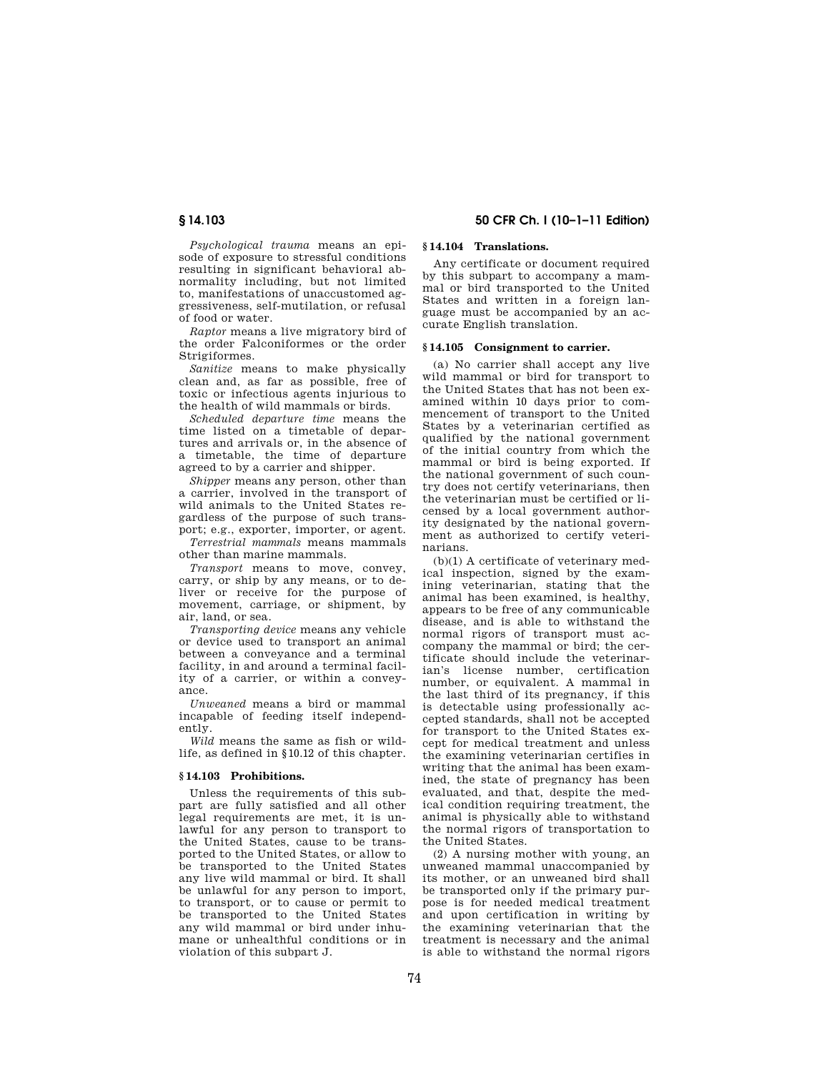*Psychological trauma* means an episode of exposure to stressful conditions resulting in significant behavioral abnormality including, but not limited to, manifestations of unaccustomed aggressiveness, self-mutilation, or refusal of food or water.

*Raptor* means a live migratory bird of the order Falconiformes or the order **Strigiformes** 

*Sanitize* means to make physically clean and, as far as possible, free of toxic or infectious agents injurious to the health of wild mammals or birds.

*Scheduled departure time* means the time listed on a timetable of departures and arrivals or, in the absence of a timetable, the time of departure agreed to by a carrier and shipper.

*Shipper* means any person, other than a carrier, involved in the transport of wild animals to the United States regardless of the purpose of such transport; e.g., exporter, importer, or agent.

*Terrestrial mammals* means mammals other than marine mammals.

*Transport* means to move, convey, carry, or ship by any means, or to deliver or receive for the purpose of movement, carriage, or shipment, by air, land, or sea.

*Transporting device* means any vehicle or device used to transport an animal between a conveyance and a terminal facility, in and around a terminal facility of a carrier, or within a conveyance.

*Unweaned* means a bird or mammal incapable of feeding itself independently.

*Wild* means the same as fish or wildlife, as defined in §10.12 of this chapter.

## **§ 14.103 Prohibitions.**

Unless the requirements of this subpart are fully satisfied and all other legal requirements are met, it is unlawful for any person to transport to the United States, cause to be transported to the United States, or allow to be transported to the United States any live wild mammal or bird. It shall be unlawful for any person to import, to transport, or to cause or permit to be transported to the United States any wild mammal or bird under inhumane or unhealthful conditions or in violation of this subpart J.

# **§ 14.103 50 CFR Ch. I (10–1–11 Edition)**

# **§ 14.104 Translations.**

Any certificate or document required by this subpart to accompany a mammal or bird transported to the United States and written in a foreign language must be accompanied by an accurate English translation.

## **§ 14.105 Consignment to carrier.**

(a) No carrier shall accept any live wild mammal or bird for transport to the United States that has not been examined within 10 days prior to commencement of transport to the United States by a veterinarian certified as qualified by the national government of the initial country from which the mammal or bird is being exported. If the national government of such country does not certify veterinarians, then the veterinarian must be certified or licensed by a local government authority designated by the national government as authorized to certify veterinarians.

(b)(1) A certificate of veterinary medical inspection, signed by the examining veterinarian, stating that the animal has been examined, is healthy, appears to be free of any communicable disease, and is able to withstand the normal rigors of transport must accompany the mammal or bird; the certificate should include the veterinarian's license number, certification number, or equivalent. A mammal in the last third of its pregnancy, if this is detectable using professionally accepted standards, shall not be accepted for transport to the United States except for medical treatment and unless the examining veterinarian certifies in writing that the animal has been examined, the state of pregnancy has been evaluated, and that, despite the medical condition requiring treatment, the animal is physically able to withstand the normal rigors of transportation to the United States.

(2) A nursing mother with young, an unweaned mammal unaccompanied by its mother, or an unweaned bird shall be transported only if the primary purpose is for needed medical treatment and upon certification in writing by the examining veterinarian that the treatment is necessary and the animal is able to withstand the normal rigors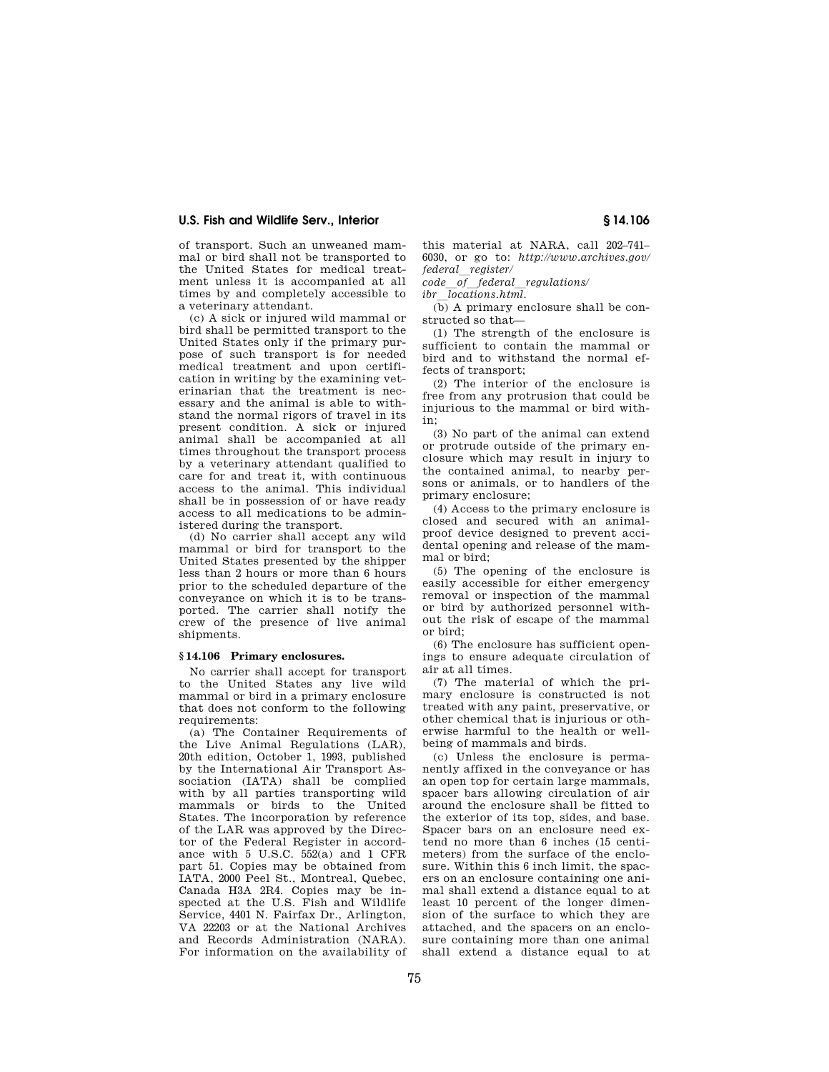of transport. Such an unweaned mammal or bird shall not be transported to the United States for medical treatment unless it is accompanied at all times by and completely accessible to a veterinary attendant.

(c) A sick or injured wild mammal or bird shall be permitted transport to the United States only if the primary purpose of such transport is for needed medical treatment and upon certification in writing by the examining veterinarian that the treatment is necessary and the animal is able to withstand the normal rigors of travel in its present condition. A sick or injured animal shall be accompanied at all times throughout the transport process by a veterinary attendant qualified to care for and treat it, with continuous access to the animal. This individual shall be in possession of or have ready access to all medications to be administered during the transport.

(d) No carrier shall accept any wild mammal or bird for transport to the United States presented by the shipper less than 2 hours or more than 6 hours prior to the scheduled departure of the conveyance on which it is to be transported. The carrier shall notify the crew of the presence of live animal shipments.

## **§ 14.106 Primary enclosures.**

No carrier shall accept for transport to the United States any live wild mammal or bird in a primary enclosure that does not conform to the following requirements:

(a) The Container Requirements of the Live Animal Regulations (LAR), 20th edition, October 1, 1993, published by the International Air Transport Association (IATA) shall be complied with by all parties transporting wild mammals or birds to the United States. The incorporation by reference of the LAR was approved by the Director of the Federal Register in accordance with 5 U.S.C. 552(a) and 1 CFR part 51. Copies may be obtained from IATA, 2000 Peel St., Montreal, Quebec, Canada H3A 2R4. Copies may be inspected at the U.S. Fish and Wildlife Service, 4401 N. Fairfax Dr., Arlington, VA 22203 or at the National Archives and Records Administration (NARA). For information on the availability of

this material at NARA, call 202–741– 6030, or go to: *http://www.archives.gov/ federal*l*register/* 

*code*l*of*l*federal*l*regulations/* 

*ibr*l*locations.html.* 

(b) A primary enclosure shall be constructed so that—

(1) The strength of the enclosure is sufficient to contain the mammal or bird and to withstand the normal effects of transport;

(2) The interior of the enclosure is free from any protrusion that could be injurious to the mammal or bird within;

(3) No part of the animal can extend or protrude outside of the primary enclosure which may result in injury to the contained animal, to nearby persons or animals, or to handlers of the primary enclosure;

(4) Access to the primary enclosure is closed and secured with an animalproof device designed to prevent accidental opening and release of the mammal or bird;

(5) The opening of the enclosure is easily accessible for either emergency removal or inspection of the mammal or bird by authorized personnel without the risk of escape of the mammal or bird;

(6) The enclosure has sufficient openings to ensure adequate circulation of air at all times.

(7) The material of which the primary enclosure is constructed is not treated with any paint, preservative, or other chemical that is injurious or otherwise harmful to the health or wellbeing of mammals and birds.

(c) Unless the enclosure is permanently affixed in the conveyance or has an open top for certain large mammals, spacer bars allowing circulation of air around the enclosure shall be fitted to the exterior of its top, sides, and base. Spacer bars on an enclosure need extend no more than 6 inches (15 centimeters) from the surface of the enclosure. Within this 6 inch limit, the spacers on an enclosure containing one animal shall extend a distance equal to at least 10 percent of the longer dimension of the surface to which they are attached, and the spacers on an enclosure containing more than one animal shall extend a distance equal to at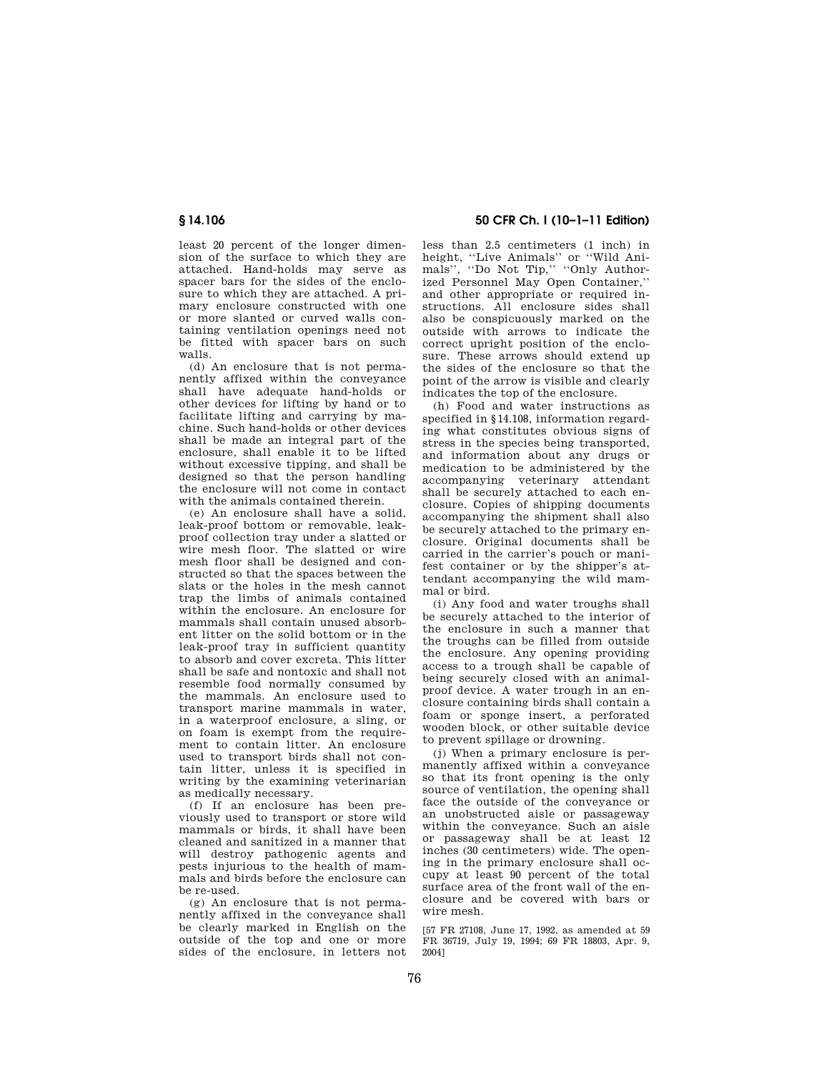least 20 percent of the longer dimension of the surface to which they are attached. Hand-holds may serve as spacer bars for the sides of the enclosure to which they are attached. A primary enclosure constructed with one or more slanted or curved walls containing ventilation openings need not be fitted with spacer bars on such walls.

(d) An enclosure that is not permanently affixed within the conveyance shall have adequate hand-holds or other devices for lifting by hand or to facilitate lifting and carrying by machine. Such hand-holds or other devices shall be made an integral part of the enclosure, shall enable it to be lifted without excessive tipping, and shall be designed so that the person handling the enclosure will not come in contact with the animals contained therein.

(e) An enclosure shall have a solid, leak-proof bottom or removable, leakproof collection tray under a slatted or wire mesh floor. The slatted or wire mesh floor shall be designed and constructed so that the spaces between the slats or the holes in the mesh cannot trap the limbs of animals contained within the enclosure. An enclosure for mammals shall contain unused absorbent litter on the solid bottom or in the leak-proof tray in sufficient quantity to absorb and cover excreta. This litter shall be safe and nontoxic and shall not resemble food normally consumed by the mammals. An enclosure used to transport marine mammals in water, in a waterproof enclosure, a sling, or on foam is exempt from the requirement to contain litter. An enclosure used to transport birds shall not contain litter, unless it is specified in writing by the examining veterinarian as medically necessary.

(f) If an enclosure has been previously used to transport or store wild mammals or birds, it shall have been cleaned and sanitized in a manner that will destroy pathogenic agents and pests injurious to the health of mammals and birds before the enclosure can be re-used.

(g) An enclosure that is not permanently affixed in the conveyance shall be clearly marked in English on the outside of the top and one or more sides of the enclosure, in letters not

# **§ 14.106 50 CFR Ch. I (10–1–11 Edition)**

less than 2.5 centimeters (1 inch) in height, ''Live Animals'' or ''Wild Animals", "Do Not Tip," "Only Authorized Personnel May Open Container,'' and other appropriate or required instructions. All enclosure sides shall also be conspicuously marked on the outside with arrows to indicate the correct upright position of the enclosure. These arrows should extend up the sides of the enclosure so that the point of the arrow is visible and clearly indicates the top of the enclosure.

(h) Food and water instructions as specified in §14.108, information regarding what constitutes obvious signs of stress in the species being transported, and information about any drugs or medication to be administered by the accompanying veterinary attendant shall be securely attached to each enclosure. Copies of shipping documents accompanying the shipment shall also be securely attached to the primary enclosure. Original documents shall be carried in the carrier's pouch or manifest container or by the shipper's attendant accompanying the wild mammal or bird.

(i) Any food and water troughs shall be securely attached to the interior of the enclosure in such a manner that the troughs can be filled from outside the enclosure. Any opening providing access to a trough shall be capable of being securely closed with an animalproof device. A water trough in an enclosure containing birds shall contain a foam or sponge insert, a perforated wooden block, or other suitable device to prevent spillage or drowning.

(j) When a primary enclosure is permanently affixed within a conveyance so that its front opening is the only source of ventilation, the opening shall face the outside of the conveyance or an unobstructed aisle or passageway within the conveyance. Such an aisle or passageway shall be at least 12 inches (30 centimeters) wide. The opening in the primary enclosure shall occupy at least 90 percent of the total surface area of the front wall of the enclosure and be covered with bars or wire mesh.

[57 FR 27108, June 17, 1992, as amended at 59 FR 36719, July 19, 1994; 69 FR 18803, Apr. 9, 2004]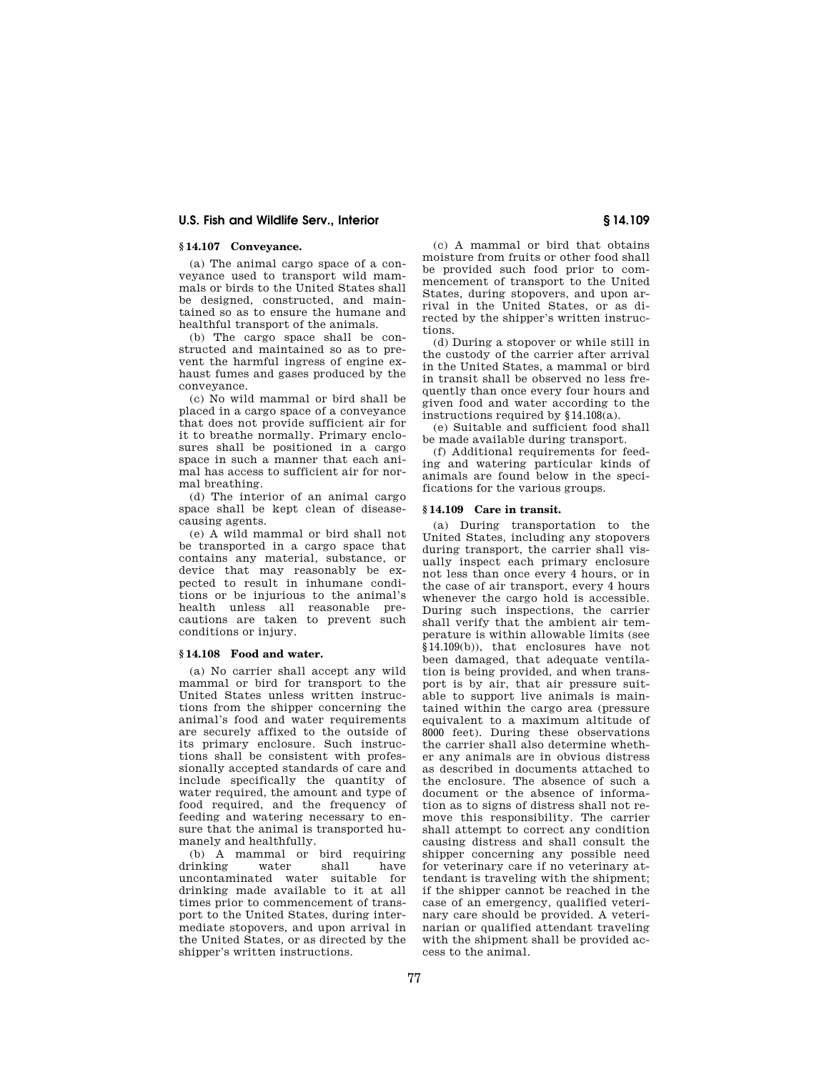# **§ 14.107 Conveyance.**

(a) The animal cargo space of a conveyance used to transport wild mammals or birds to the United States shall be designed, constructed, and maintained so as to ensure the humane and healthful transport of the animals.

(b) The cargo space shall be constructed and maintained so as to prevent the harmful ingress of engine exhaust fumes and gases produced by the conveyance.

(c) No wild mammal or bird shall be placed in a cargo space of a conveyance that does not provide sufficient air for it to breathe normally. Primary enclosures shall be positioned in a cargo space in such a manner that each animal has access to sufficient air for normal breathing.

(d) The interior of an animal cargo space shall be kept clean of diseasecausing agents.

(e) A wild mammal or bird shall not be transported in a cargo space that contains any material, substance, or device that may reasonably be expected to result in inhumane conditions or be injurious to the animal's health unless all reasonable precautions are taken to prevent such conditions or injury.

## **§ 14.108 Food and water.**

(a) No carrier shall accept any wild mammal or bird for transport to the United States unless written instructions from the shipper concerning the animal's food and water requirements are securely affixed to the outside of its primary enclosure. Such instructions shall be consistent with professionally accepted standards of care and include specifically the quantity of water required, the amount and type of food required, and the frequency of feeding and watering necessary to ensure that the animal is transported humanely and healthfully.

(b) A mammal or bird requiring<br>rinking water shall have drinking water shall have uncontaminated water suitable for drinking made available to it at all times prior to commencement of transport to the United States, during intermediate stopovers, and upon arrival in the United States, or as directed by the shipper's written instructions.

(c) A mammal or bird that obtains moisture from fruits or other food shall be provided such food prior to commencement of transport to the United States, during stopovers, and upon arrival in the United States, or as directed by the shipper's written instructions.

(d) During a stopover or while still in the custody of the carrier after arrival in the United States, a mammal or bird in transit shall be observed no less frequently than once every four hours and given food and water according to the instructions required by §14.108(a).

(e) Suitable and sufficient food shall be made available during transport.

(f) Additional requirements for feeding and watering particular kinds of animals are found below in the specifications for the various groups.

#### **§ 14.109 Care in transit.**

(a) During transportation to the United States, including any stopovers during transport, the carrier shall visually inspect each primary enclosure not less than once every 4 hours, or in the case of air transport, every 4 hours whenever the cargo hold is accessible. During such inspections, the carrier shall verify that the ambient air temperature is within allowable limits (see §14.109(b)), that enclosures have not been damaged, that adequate ventilation is being provided, and when transport is by air, that air pressure suitable to support live animals is maintained within the cargo area (pressure equivalent to a maximum altitude of 8000 feet). During these observations the carrier shall also determine whether any animals are in obvious distress as described in documents attached to the enclosure. The absence of such a document or the absence of information as to signs of distress shall not remove this responsibility. The carrier shall attempt to correct any condition causing distress and shall consult the shipper concerning any possible need for veterinary care if no veterinary attendant is traveling with the shipment; if the shipper cannot be reached in the case of an emergency, qualified veterinary care should be provided. A veterinarian or qualified attendant traveling with the shipment shall be provided access to the animal.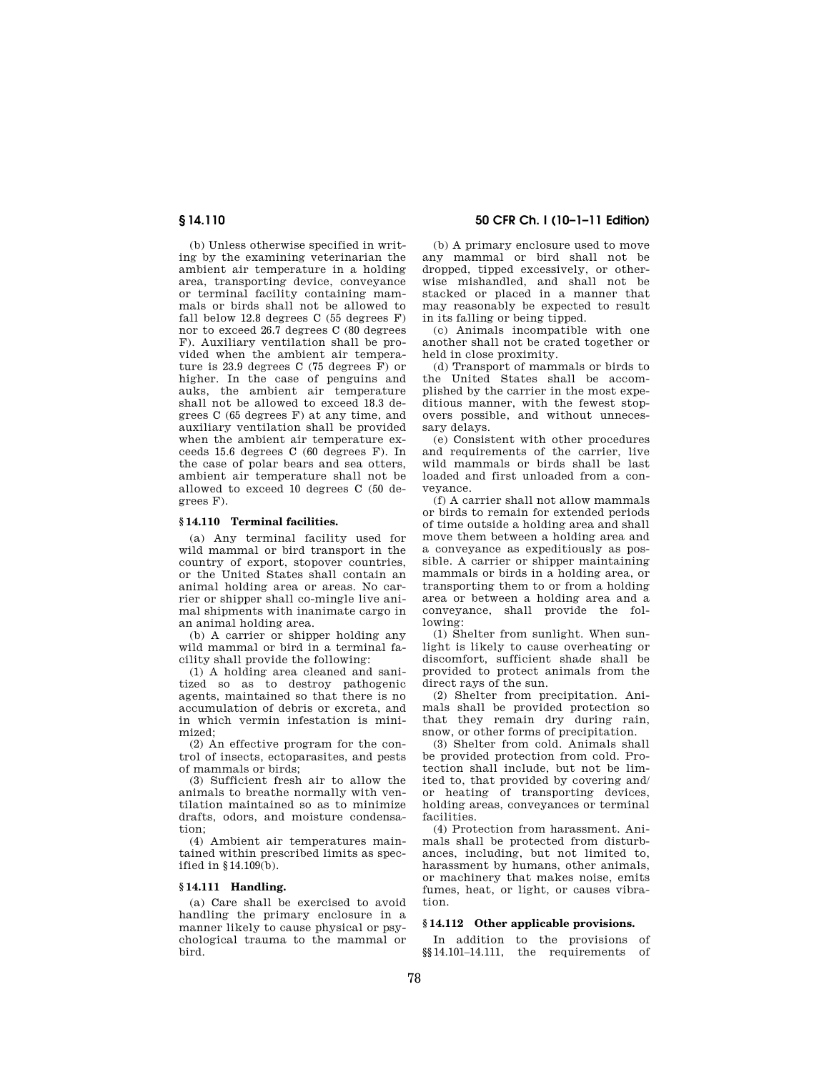(b) Unless otherwise specified in writing by the examining veterinarian the ambient air temperature in a holding area, transporting device, conveyance or terminal facility containing mammals or birds shall not be allowed to fall below 12.8 degrees C (55 degrees F) nor to exceed 26.7 degrees C (80 degrees F). Auxiliary ventilation shall be provided when the ambient air temperature is 23.9 degrees C (75 degrees F) or higher. In the case of penguins and auks, the ambient air temperature shall not be allowed to exceed 18.3 degrees C (65 degrees F) at any time, and auxiliary ventilation shall be provided when the ambient air temperature exceeds 15.6 degrees C (60 degrees F). In the case of polar bears and sea otters, ambient air temperature shall not be allowed to exceed 10 degrees C (50 degrees F).

## **§ 14.110 Terminal facilities.**

(a) Any terminal facility used for wild mammal or bird transport in the country of export, stopover countries, or the United States shall contain an animal holding area or areas. No carrier or shipper shall co-mingle live animal shipments with inanimate cargo in an animal holding area.

(b) A carrier or shipper holding any wild mammal or bird in a terminal facility shall provide the following:

(1) A holding area cleaned and sanitized so as to destroy pathogenic agents, maintained so that there is no accumulation of debris or excreta, and in which vermin infestation is minimized;

(2) An effective program for the control of insects, ectoparasites, and pests of mammals or birds;

(3) Sufficient fresh air to allow the animals to breathe normally with ventilation maintained so as to minimize drafts, odors, and moisture condensation;

(4) Ambient air temperatures maintained within prescribed limits as specified in §14.109(b).

# **§ 14.111 Handling.**

(a) Care shall be exercised to avoid handling the primary enclosure in a manner likely to cause physical or psychological trauma to the mammal or bird.

# **§ 14.110 50 CFR Ch. I (10–1–11 Edition)**

(b) A primary enclosure used to move any mammal or bird shall not be dropped, tipped excessively, or otherwise mishandled, and shall not be stacked or placed in a manner that may reasonably be expected to result in its falling or being tipped.

(c) Animals incompatible with one another shall not be crated together or held in close proximity.

(d) Transport of mammals or birds to the United States shall be accomplished by the carrier in the most expeditious manner, with the fewest stopovers possible, and without unnecessary delays.

(e) Consistent with other procedures and requirements of the carrier, live wild mammals or birds shall be last loaded and first unloaded from a conveyance.

(f) A carrier shall not allow mammals or birds to remain for extended periods of time outside a holding area and shall move them between a holding area and a conveyance as expeditiously as possible. A carrier or shipper maintaining mammals or birds in a holding area, or transporting them to or from a holding area or between a holding area and a conveyance, shall provide the following:

(1) Shelter from sunlight. When sunlight is likely to cause overheating or discomfort, sufficient shade shall be provided to protect animals from the direct rays of the sun.

(2) Shelter from precipitation. Animals shall be provided protection so that they remain dry during rain, snow, or other forms of precipitation.

(3) Shelter from cold. Animals shall be provided protection from cold. Protection shall include, but not be limited to, that provided by covering and/ or heating of transporting devices, holding areas, conveyances or terminal facilities.

(4) Protection from harassment. Animals shall be protected from disturbances, including, but not limited to, harassment by humans, other animals, or machinery that makes noise, emits fumes, heat, or light, or causes vibration.

# **§ 14.112 Other applicable provisions.**

In addition to the provisions of §§14.101–14.111, the requirements of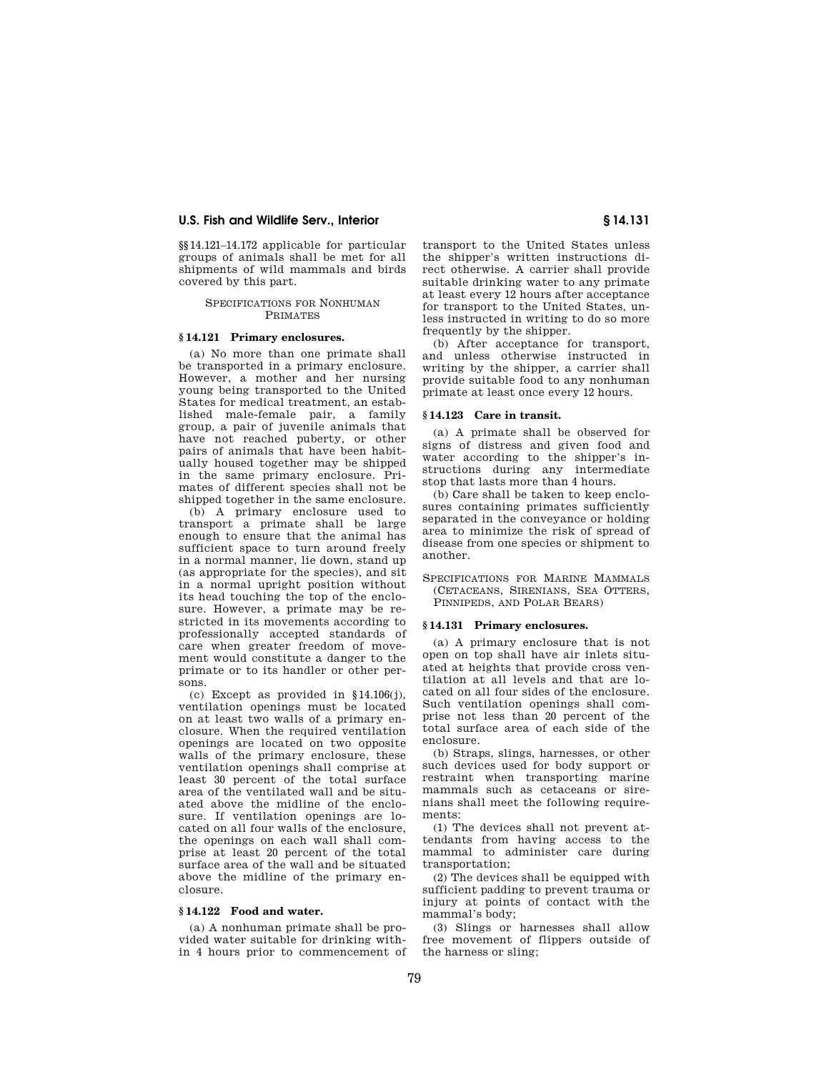§§14.121–14.172 applicable for particular groups of animals shall be met for all shipments of wild mammals and birds covered by this part.

#### SPECIFICATIONS FOR NONHUMAN PRIMATES

# **§ 14.121 Primary enclosures.**

(a) No more than one primate shall be transported in a primary enclosure. However, a mother and her nursing young being transported to the United States for medical treatment, an established male-female pair, a family group, a pair of juvenile animals that have not reached puberty, or other pairs of animals that have been habitually housed together may be shipped in the same primary enclosure. Primates of different species shall not be shipped together in the same enclosure.

(b) A primary enclosure used to transport a primate shall be large enough to ensure that the animal has sufficient space to turn around freely in a normal manner, lie down, stand up (as appropriate for the species), and sit in a normal upright position without its head touching the top of the enclosure. However, a primate may be restricted in its movements according to professionally accepted standards of care when greater freedom of movement would constitute a danger to the primate or to its handler or other persons.

(c) Except as provided in §14.106(j), ventilation openings must be located on at least two walls of a primary enclosure. When the required ventilation openings are located on two opposite walls of the primary enclosure, these ventilation openings shall comprise at least 30 percent of the total surface area of the ventilated wall and be situated above the midline of the enclosure. If ventilation openings are located on all four walls of the enclosure, the openings on each wall shall comprise at least 20 percent of the total surface area of the wall and be situated above the midline of the primary enclosure.

#### **§ 14.122 Food and water.**

(a) A nonhuman primate shall be provided water suitable for drinking within 4 hours prior to commencement of transport to the United States unless the shipper's written instructions direct otherwise. A carrier shall provide suitable drinking water to any primate at least every 12 hours after acceptance for transport to the United States, unless instructed in writing to do so more frequently by the shipper.

(b) After acceptance for transport, and unless otherwise instructed in writing by the shipper, a carrier shall provide suitable food to any nonhuman primate at least once every 12 hours.

## **§ 14.123 Care in transit.**

(a) A primate shall be observed for signs of distress and given food and water according to the shipper's instructions during any intermediate stop that lasts more than 4 hours.

(b) Care shall be taken to keep enclosures containing primates sufficiently separated in the conveyance or holding area to minimize the risk of spread of disease from one species or shipment to another.

SPECIFICATIONS FOR MARINE MAMMALS (CETACEANS, SIRENIANS, SEA OTTERS, PINNIPEDS, AND POLAR BEARS)

## **§ 14.131 Primary enclosures.**

(a) A primary enclosure that is not open on top shall have air inlets situated at heights that provide cross ventilation at all levels and that are located on all four sides of the enclosure. Such ventilation openings shall comprise not less than 20 percent of the total surface area of each side of the enclosure.

(b) Straps, slings, harnesses, or other such devices used for body support or restraint when transporting marine mammals such as cetaceans or sirenians shall meet the following requirements:

(1) The devices shall not prevent attendants from having access to the mammal to administer care during transportation;

(2) The devices shall be equipped with sufficient padding to prevent trauma or injury at points of contact with the mammal's body;

(3) Slings or harnesses shall allow free movement of flippers outside of the harness or sling;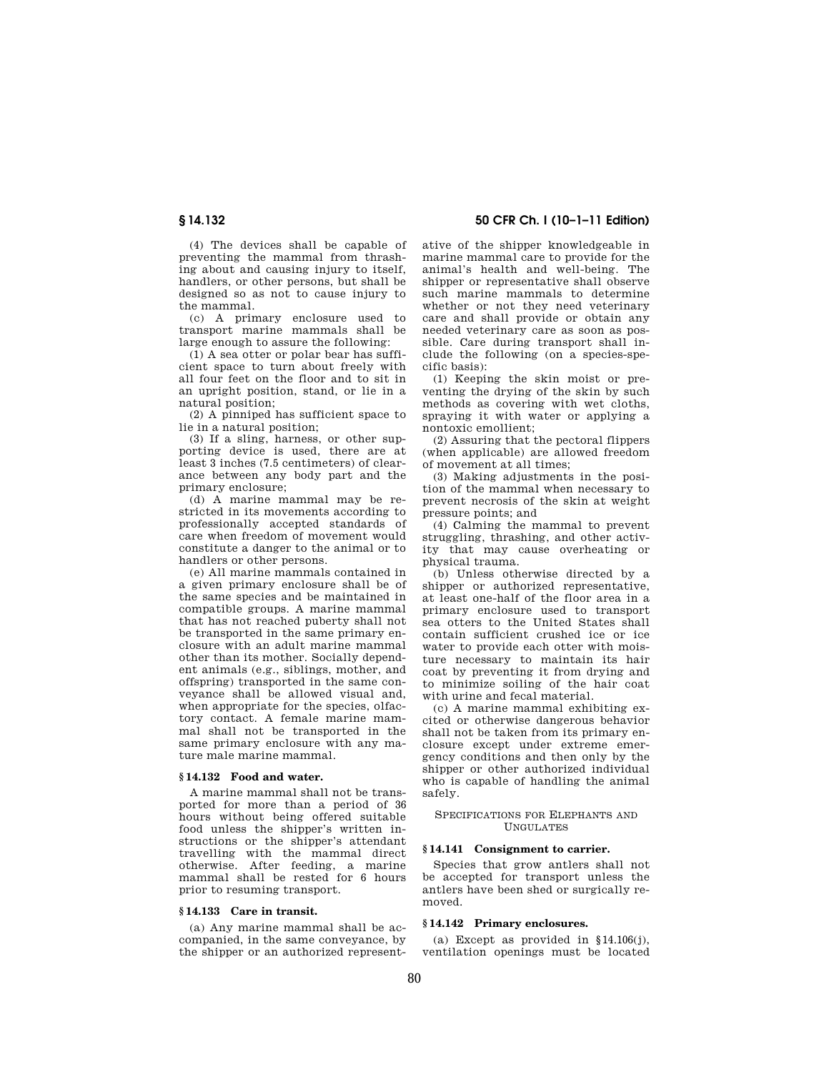**§ 14.132 50 CFR Ch. I (10–1–11 Edition)** 

(4) The devices shall be capable of preventing the mammal from thrashing about and causing injury to itself, handlers, or other persons, but shall be designed so as not to cause injury to the mammal.

(c) A primary enclosure used to transport marine mammals shall be large enough to assure the following:

(1) A sea otter or polar bear has sufficient space to turn about freely with all four feet on the floor and to sit in an upright position, stand, or lie in a natural position;

(2) A pinniped has sufficient space to lie in a natural position;

(3) If a sling, harness, or other supporting device is used, there are at least 3 inches (7.5 centimeters) of clearance between any body part and the primary enclosure;

(d) A marine mammal may be restricted in its movements according to professionally accepted standards of care when freedom of movement would constitute a danger to the animal or to handlers or other persons.

(e) All marine mammals contained in a given primary enclosure shall be of the same species and be maintained in compatible groups. A marine mammal that has not reached puberty shall not be transported in the same primary enclosure with an adult marine mammal other than its mother. Socially dependent animals (e.g., siblings, mother, and offspring) transported in the same conveyance shall be allowed visual and, when appropriate for the species, olfactory contact. A female marine mammal shall not be transported in the same primary enclosure with any mature male marine mammal.

## **§ 14.132 Food and water.**

A marine mammal shall not be transported for more than a period of 36 hours without being offered suitable food unless the shipper's written instructions or the shipper's attendant travelling with the mammal direct otherwise. After feeding, a marine mammal shall be rested for 6 hours prior to resuming transport.

## **§ 14.133 Care in transit.**

(a) Any marine mammal shall be accompanied, in the same conveyance, by the shipper or an authorized representative of the shipper knowledgeable in marine mammal care to provide for the animal's health and well-being. The shipper or representative shall observe such marine mammals to determine whether or not they need veterinary care and shall provide or obtain any needed veterinary care as soon as possible. Care during transport shall include the following (on a species-specific basis):

(1) Keeping the skin moist or preventing the drying of the skin by such methods as covering with wet cloths, spraying it with water or applying a nontoxic emollient;

(2) Assuring that the pectoral flippers (when applicable) are allowed freedom of movement at all times;

(3) Making adjustments in the position of the mammal when necessary to prevent necrosis of the skin at weight pressure points; and

(4) Calming the mammal to prevent struggling, thrashing, and other activity that may cause overheating or physical trauma.

(b) Unless otherwise directed by a shipper or authorized representative, at least one-half of the floor area in a primary enclosure used to transport sea otters to the United States shall contain sufficient crushed ice or ice water to provide each otter with moisture necessary to maintain its hair coat by preventing it from drying and to minimize soiling of the hair coat with urine and fecal material.

(c) A marine mammal exhibiting excited or otherwise dangerous behavior shall not be taken from its primary enclosure except under extreme emergency conditions and then only by the shipper or other authorized individual who is capable of handling the animal safely.

## SPECIFICATIONS FOR ELEPHANTS AND UNGULATES

# **§ 14.141 Consignment to carrier.**

Species that grow antlers shall not be accepted for transport unless the antlers have been shed or surgically removed.

# **§ 14.142 Primary enclosures.**

(a) Except as provided in  $§14.106(j)$ , ventilation openings must be located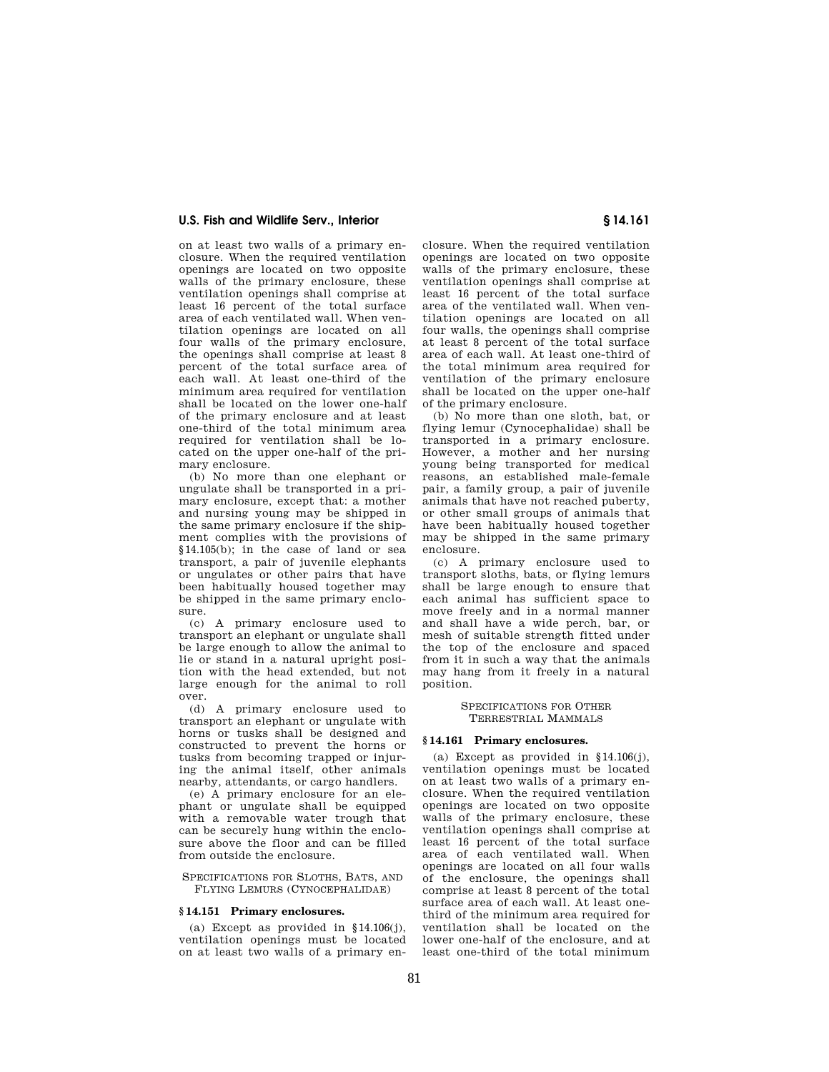on at least two walls of a primary enclosure. When the required ventilation openings are located on two opposite walls of the primary enclosure, these ventilation openings shall comprise at least 16 percent of the total surface area of each ventilated wall. When ventilation openings are located on all four walls of the primary enclosure, the openings shall comprise at least 8 percent of the total surface area of each wall. At least one-third of the minimum area required for ventilation shall be located on the lower one-half of the primary enclosure and at least one-third of the total minimum area required for ventilation shall be located on the upper one-half of the primary enclosure.

(b) No more than one elephant or ungulate shall be transported in a primary enclosure, except that: a mother and nursing young may be shipped in the same primary enclosure if the shipment complies with the provisions of §14.105(b); in the case of land or sea transport, a pair of juvenile elephants or ungulates or other pairs that have been habitually housed together may be shipped in the same primary enclosure.

(c) A primary enclosure used to transport an elephant or ungulate shall be large enough to allow the animal to lie or stand in a natural upright position with the head extended, but not large enough for the animal to roll over.

(d) A primary enclosure used to transport an elephant or ungulate with horns or tusks shall be designed and constructed to prevent the horns or tusks from becoming trapped or injuring the animal itself, other animals nearby, attendants, or cargo handlers.

(e) A primary enclosure for an elephant or ungulate shall be equipped with a removable water trough that can be securely hung within the enclosure above the floor and can be filled from outside the enclosure.

#### SPECIFICATIONS FOR SLOTHS, BATS, AND FLYING LEMURS (CYNOCEPHALIDAE)

#### **§ 14.151 Primary enclosures.**

(a) Except as provided in  $$14.106(i)$ . ventilation openings must be located on at least two walls of a primary enclosure. When the required ventilation openings are located on two opposite walls of the primary enclosure, these ventilation openings shall comprise at least 16 percent of the total surface area of the ventilated wall. When ventilation openings are located on all four walls, the openings shall comprise at least 8 percent of the total surface area of each wall. At least one-third of the total minimum area required for ventilation of the primary enclosure shall be located on the upper one-half of the primary enclosure.

(b) No more than one sloth, bat, or flying lemur (Cynocephalidae) shall be transported in a primary enclosure. However, a mother and her nursing young being transported for medical reasons, an established male-female pair, a family group, a pair of juvenile animals that have not reached puberty, or other small groups of animals that have been habitually housed together may be shipped in the same primary enclosure.

(c) A primary enclosure used to transport sloths, bats, or flying lemurs shall be large enough to ensure that each animal has sufficient space to move freely and in a normal manner and shall have a wide perch, bar, or mesh of suitable strength fitted under the top of the enclosure and spaced from it in such a way that the animals may hang from it freely in a natural position.

> SPECIFICATIONS FOR OTHER TERRESTRIAL MAMMALS

#### **§ 14.161 Primary enclosures.**

(a) Except as provided in  $$14.106(j)$ , ventilation openings must be located on at least two walls of a primary enclosure. When the required ventilation openings are located on two opposite walls of the primary enclosure, these ventilation openings shall comprise at least 16 percent of the total surface area of each ventilated wall. When openings are located on all four walls of the enclosure, the openings shall comprise at least 8 percent of the total surface area of each wall. At least onethird of the minimum area required for ventilation shall be located on the lower one-half of the enclosure, and at least one-third of the total minimum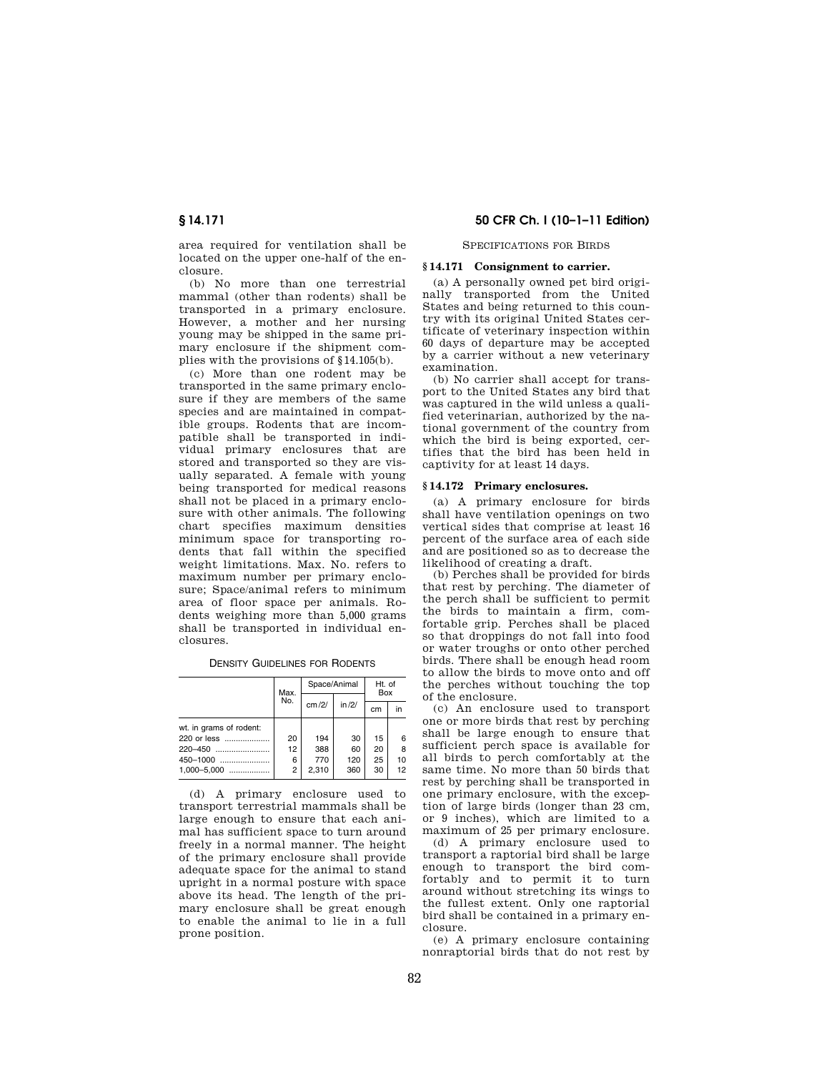area required for ventilation shall be located on the upper one-half of the enclosure.

(b) No more than one terrestrial mammal (other than rodents) shall be transported in a primary enclosure. However, a mother and her nursing young may be shipped in the same primary enclosure if the shipment complies with the provisions of §14.105(b).

(c) More than one rodent may be transported in the same primary enclosure if they are members of the same species and are maintained in compatible groups. Rodents that are incompatible shall be transported in individual primary enclosures that are stored and transported so they are visually separated. A female with young being transported for medical reasons shall not be placed in a primary enclosure with other animals. The following chart specifies maximum densities minimum space for transporting rodents that fall within the specified weight limitations. Max. No. refers to maximum number per primary enclosure; Space/animal refers to minimum area of floor space per animals. Rodents weighing more than 5,000 grams shall be transported in individual enclosures.

| <b>DENSITY GUIDELINES FOR RODENTS</b> |  |
|---------------------------------------|--|
|---------------------------------------|--|

|                         | Max. | Space/Animal |        | Ht. of<br>Box |    |
|-------------------------|------|--------------|--------|---------------|----|
|                         | No.  | cm/2/        | in /2/ | cm            | in |
| wt. in grams of rodent: |      |              |        |               |    |
| 220 or less             | 20   | 194          | 30     | 15            | 6  |
| 220-450                 | 12   | 388          | 60     | 20            | 8  |
|                         | 6    | 770          | 120    | 25            | 10 |
| $1.000 - 5.000$         | 2    | 2.310        | 360    | 30            | 12 |

(d) A primary enclosure used to transport terrestrial mammals shall be large enough to ensure that each animal has sufficient space to turn around freely in a normal manner. The height of the primary enclosure shall provide adequate space for the animal to stand upright in a normal posture with space above its head. The length of the primary enclosure shall be great enough to enable the animal to lie in a full prone position.

# **§ 14.171 50 CFR Ch. I (10–1–11 Edition)**

#### SPECIFICATIONS FOR BIRDS

#### **§ 14.171 Consignment to carrier.**

(a) A personally owned pet bird originally transported from the United States and being returned to this country with its original United States certificate of veterinary inspection within 60 days of departure may be accepted by a carrier without a new veterinary examination.

(b) No carrier shall accept for transport to the United States any bird that was captured in the wild unless a qualified veterinarian, authorized by the national government of the country from which the bird is being exported, certifies that the bird has been held in captivity for at least 14 days.

## **§ 14.172 Primary enclosures.**

(a) A primary enclosure for birds shall have ventilation openings on two vertical sides that comprise at least 16 percent of the surface area of each side and are positioned so as to decrease the likelihood of creating a draft.

(b) Perches shall be provided for birds that rest by perching. The diameter of the perch shall be sufficient to permit the birds to maintain a firm, comfortable grip. Perches shall be placed so that droppings do not fall into food or water troughs or onto other perched birds. There shall be enough head room to allow the birds to move onto and off the perches without touching the top of the enclosure.

(c) An enclosure used to transport one or more birds that rest by perching shall be large enough to ensure that sufficient perch space is available for all birds to perch comfortably at the same time. No more than 50 birds that rest by perching shall be transported in one primary enclosure, with the exception of large birds (longer than 23 cm, or 9 inches), which are limited to a maximum of 25 per primary enclosure.

(d) A primary enclosure used to transport a raptorial bird shall be large enough to transport the bird comfortably and to permit it to turn around without stretching its wings to the fullest extent. Only one raptorial bird shall be contained in a primary enclosure.

(e) A primary enclosure containing nonraptorial birds that do not rest by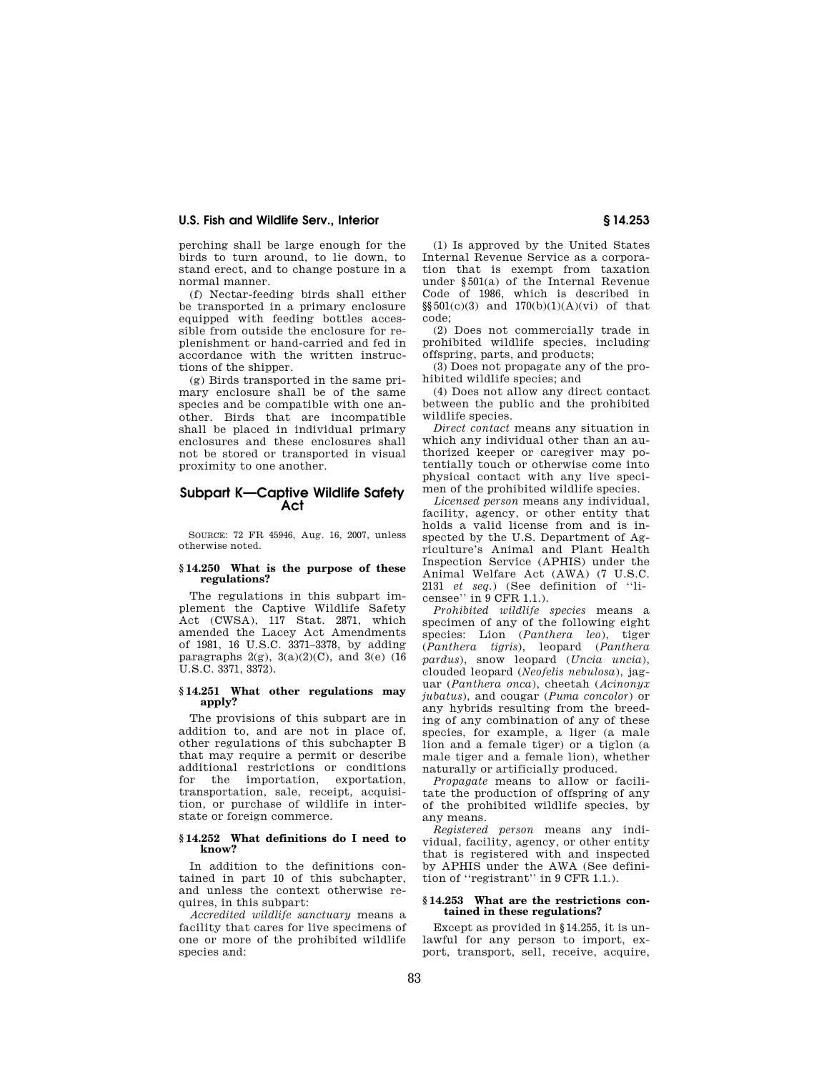perching shall be large enough for the birds to turn around, to lie down, to stand erect, and to change posture in a normal manner.

(f) Nectar-feeding birds shall either be transported in a primary enclosure equipped with feeding bottles accessible from outside the enclosure for replenishment or hand-carried and fed in accordance with the written instructions of the shipper.

(g) Birds transported in the same primary enclosure shall be of the same species and be compatible with one another. Birds that are incompatible shall be placed in individual primary enclosures and these enclosures shall not be stored or transported in visual proximity to one another.

# **Subpart K—Captive Wildlife Safety Act**

SOURCE: 72 FR 45946, Aug. 16, 2007, unless otherwise noted.

## **§ 14.250 What is the purpose of these regulations?**

The regulations in this subpart implement the Captive Wildlife Safety Act (CWSA), 117 Stat. 2871, which amended the Lacey Act Amendments of 1981, 16 U.S.C. 3371–3378, by adding paragraphs  $2(g)$ ,  $3(a)(2)(C)$ , and  $3(e)$  (16 U.S.C. 3371, 3372).

## **§ 14.251 What other regulations may apply?**

The provisions of this subpart are in addition to, and are not in place of, other regulations of this subchapter B that may require a permit or describe additional restrictions or conditions for the importation, exportation, transportation, sale, receipt, acquisition, or purchase of wildlife in interstate or foreign commerce.

## **§ 14.252 What definitions do I need to know?**

In addition to the definitions contained in part 10 of this subchapter, and unless the context otherwise requires, in this subpart:

*Accredited wildlife sanctuary* means a facility that cares for live specimens of one or more of the prohibited wildlife species and:

(1) Is approved by the United States Internal Revenue Service as a corporation that is exempt from taxation under §501(a) of the Internal Revenue Code of 1986, which is described in §§501(c)(3) and 170(b)(1)(A)(vi) of that code;

(2) Does not commercially trade in prohibited wildlife species, including offspring, parts, and products;

(3) Does not propagate any of the prohibited wildlife species; and

(4) Does not allow any direct contact between the public and the prohibited wildlife species.

*Direct contact* means any situation in which any individual other than an authorized keeper or caregiver may potentially touch or otherwise come into physical contact with any live specimen of the prohibited wildlife species.

*Licensed person* means any individual, facility, agency, or other entity that holds a valid license from and is inspected by the U.S. Department of Agriculture's Animal and Plant Health Inspection Service (APHIS) under the Animal Welfare Act (AWA) (7 U.S.C. 2131 *et seq.*) (See definition of ''licensee'' in 9 CFR 1.1.).

*Prohibited wildlife species* means a specimen of any of the following eight species: Lion (*Panthera leo*), tiger (*Panthera tigris*), leopard (*Panthera pardus*), snow leopard (*Uncia uncia*), clouded leopard (*Neofelis nebulosa*), jaguar (*Panthera onca*), cheetah (*Acinonyx jubatus*), and cougar (*Puma concolor*) or any hybrids resulting from the breeding of any combination of any of these species, for example, a liger (a male lion and a female tiger) or a tiglon (a male tiger and a female lion), whether naturally or artificially produced.

*Propagate* means to allow or facilitate the production of offspring of any of the prohibited wildlife species, by any means.

*Registered person* means any individual, facility, agency, or other entity that is registered with and inspected by APHIS under the AWA (See definition of ''registrant'' in 9 CFR 1.1.).

#### **§ 14.253 What are the restrictions contained in these regulations?**

Except as provided in §14.255, it is unlawful for any person to import, export, transport, sell, receive, acquire,